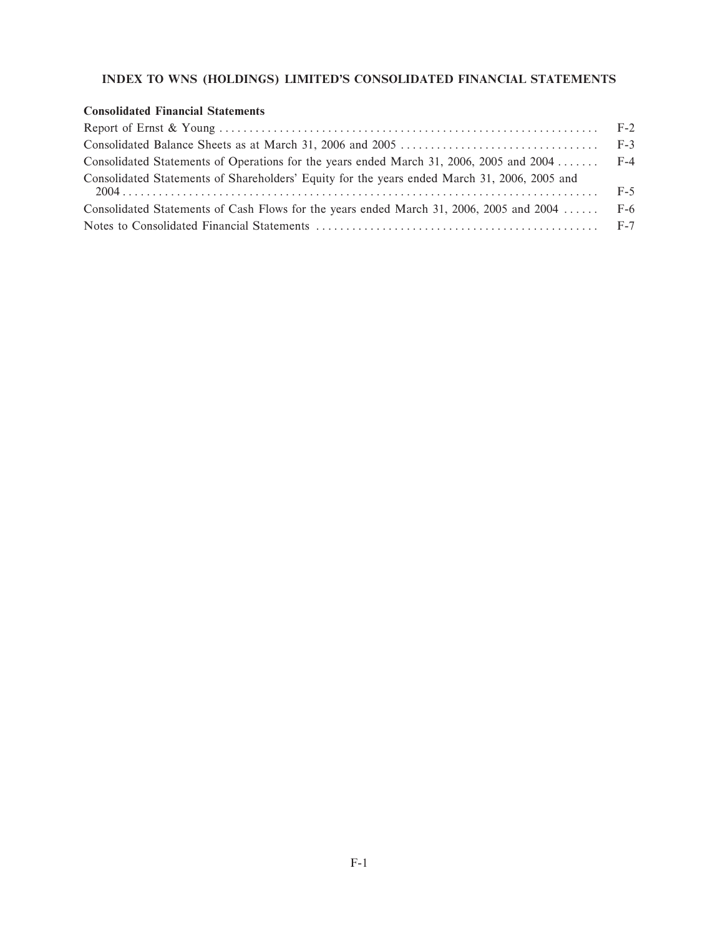# **INDEX TO WNS (HOLDINGS) LIMITED'S CONSOLIDATED FINANCIAL STATEMENTS**

### **Consolidated Financial Statements**

| Consolidated Statements of Operations for the years ended March 31, 2006, 2005 and 2004  F-4 |  |
|----------------------------------------------------------------------------------------------|--|
| Consolidated Statements of Shareholders' Equity for the years ended March 31, 2006, 2005 and |  |
| Consolidated Statements of Cash Flows for the years ended March 31, 2006, 2005 and 2004  F-6 |  |
|                                                                                              |  |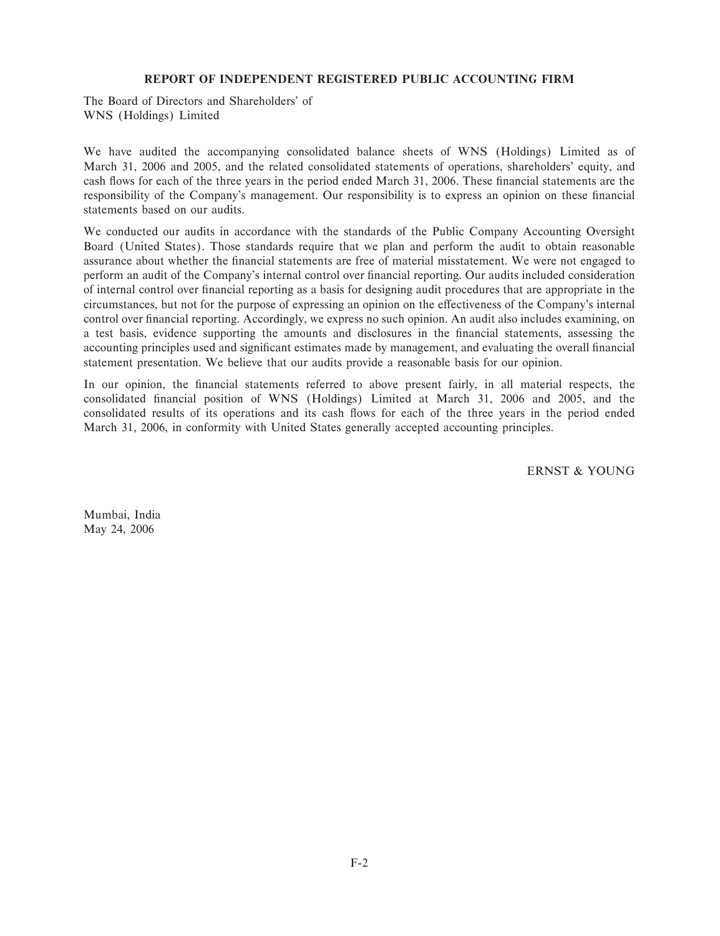### **REPORT OF INDEPENDENT REGISTERED PUBLIC ACCOUNTING FIRM**

The Board of Directors and Shareholders' of WNS (Holdings) Limited

We have audited the accompanying consolidated balance sheets of WNS (Holdings) Limited as of March 31, 2006 and 2005, and the related consolidated statements of operations, shareholders' equity, and cash flows for each of the three years in the period ended March 31, 2006. These financial statements are the responsibility of the Company's management. Our responsibility is to express an opinion on these financial statements based on our audits.

We conducted our audits in accordance with the standards of the Public Company Accounting Oversight Board (United States). Those standards require that we plan and perform the audit to obtain reasonable assurance about whether the financial statements are free of material misstatement. We were not engaged to perform an audit of the Company's internal control over Ñnancial reporting. Our audits included consideration of internal control over financial reporting as a basis for designing audit procedures that are appropriate in the circumstances, but not for the purpose of expressing an opinion on the effectiveness of the Company's internal control over financial reporting. Accordingly, we express no such opinion. An audit also includes examining, on a test basis, evidence supporting the amounts and disclosures in the financial statements, assessing the accounting principles used and significant estimates made by management, and evaluating the overall financial statement presentation. We believe that our audits provide a reasonable basis for our opinion.

In our opinion, the financial statements referred to above present fairly, in all material respects, the consolidated Ñnancial position of WNS (Holdings) Limited at March 31, 2006 and 2005, and the consolidated results of its operations and its cash flows for each of the three years in the period ended March 31, 2006, in conformity with United States generally accepted accounting principles.

ERNST & YOUNG

Mumbai, India May 24, 2006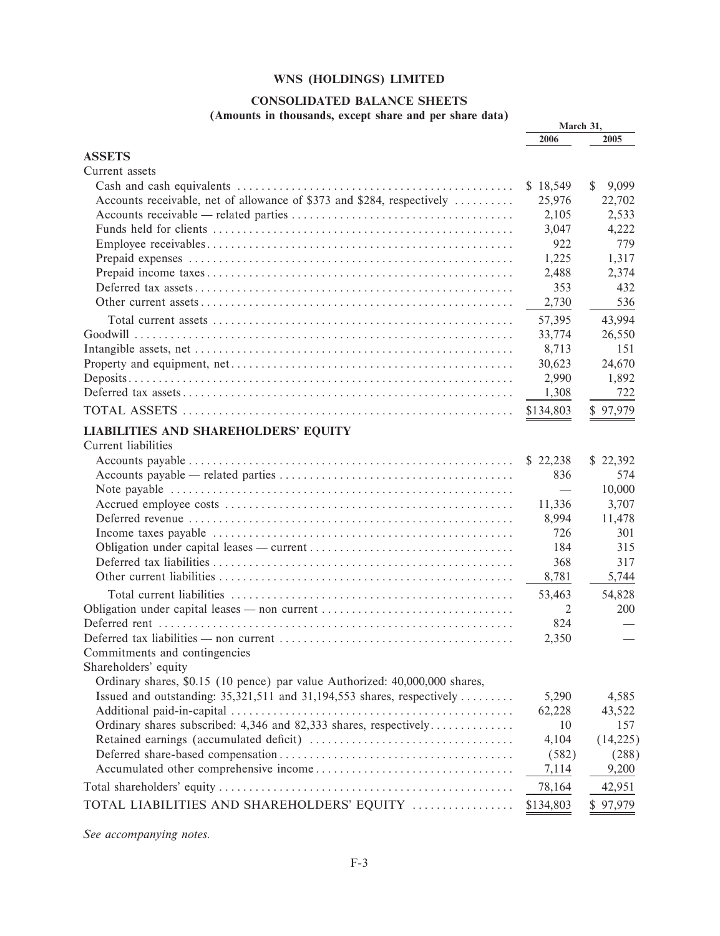# **CONSOLIDATED BALANCE SHEETS**

(Amounts in thousands, except share and per share data)

|                                                                             | March 31,                |             |
|-----------------------------------------------------------------------------|--------------------------|-------------|
|                                                                             | 2006                     | 2005        |
| <b>ASSETS</b>                                                               |                          |             |
| Current assets                                                              |                          |             |
|                                                                             | \$18,549                 | \$<br>9,099 |
| Accounts receivable, net of allowance of \$373 and \$284, respectively      | 25,976                   | 22,702      |
|                                                                             | 2,105                    | 2,533       |
|                                                                             | 3,047                    | 4,222       |
|                                                                             | 922                      | 779         |
|                                                                             | 1,225                    | 1,317       |
|                                                                             | 2,488                    | 2,374       |
|                                                                             | 353                      | 432         |
|                                                                             | 2,730                    | 536         |
|                                                                             | 57,395                   | 43,994      |
|                                                                             | 33,774                   | 26,550      |
|                                                                             | 8,713                    | 151         |
|                                                                             | 30,623                   | 24,670      |
|                                                                             | 2,990                    | 1,892       |
|                                                                             |                          |             |
|                                                                             | 1,308                    | 722         |
|                                                                             | \$134,803                | \$97,979    |
| <b>LIABILITIES AND SHAREHOLDERS' EQUITY</b>                                 |                          |             |
| Current liabilities                                                         |                          |             |
|                                                                             | \$22,238                 | \$22,392    |
|                                                                             | 836                      | 574         |
|                                                                             | $\overline{\phantom{0}}$ | 10,000      |
|                                                                             | 11,336                   | 3,707       |
|                                                                             | 8,994                    | 11,478      |
|                                                                             | 726                      | 301         |
|                                                                             | 184                      | 315         |
|                                                                             | 368                      | 317         |
|                                                                             | 8,781                    | 5,744       |
|                                                                             | 53,463                   | 54,828      |
| Obligation under capital leases — non current                               | 2                        | 200         |
|                                                                             | 824                      |             |
|                                                                             | 2,350                    |             |
| Commitments and contingencies                                               |                          |             |
| Shareholders' equity                                                        |                          |             |
| Ordinary shares, \$0.15 (10 pence) par value Authorized: 40,000,000 shares, |                          |             |
| Issued and outstanding: 35,321,511 and 31,194,553 shares, respectively      | 5,290                    | 4,585       |
|                                                                             | 62,228                   |             |
| Ordinary shares subscribed: 4,346 and 82,333 shares, respectively           | 10                       | 43,522      |
|                                                                             |                          | 157         |
|                                                                             | 4,104                    | (14,225)    |
|                                                                             | (582)                    | (288)       |
|                                                                             | 7,114                    | 9,200       |
|                                                                             | 78,164                   | 42,951      |
| TOTAL LIABILITIES AND SHAREHOLDERS' EQUITY                                  | \$134,803                | \$97,979    |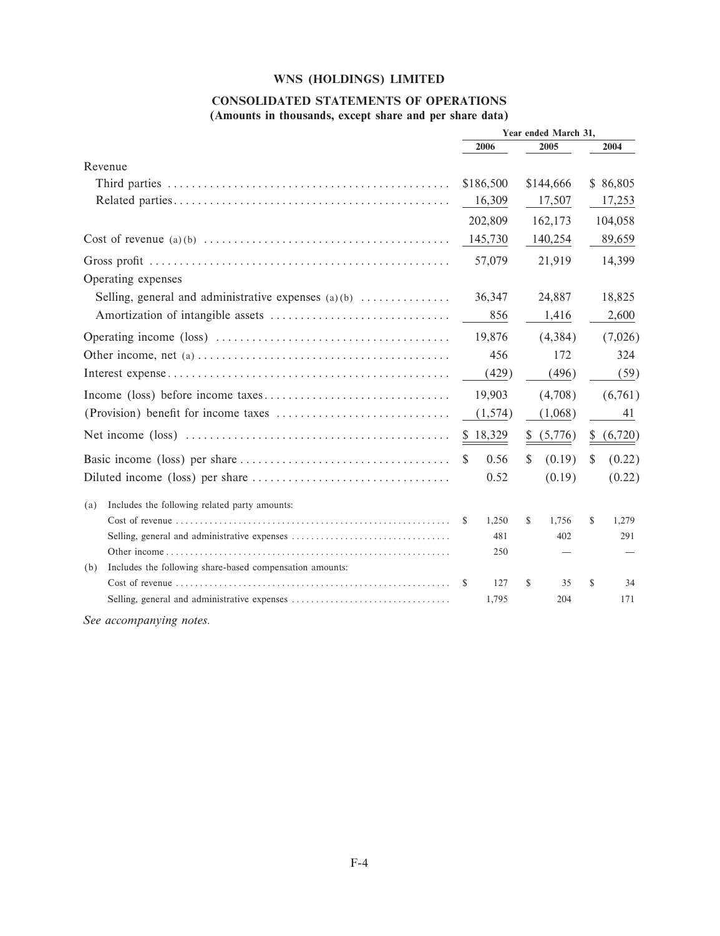### **CONSOLIDATED STATEMENTS OF OPERATIONS (Amounts in thousands, except share and per share data)**

|                                                                                                             | Year ended March 31,  |                   |           |              |          |
|-------------------------------------------------------------------------------------------------------------|-----------------------|-------------------|-----------|--------------|----------|
|                                                                                                             | 2006                  |                   | 2005      |              | 2004     |
| Revenue                                                                                                     |                       |                   |           |              |          |
|                                                                                                             | \$186,500             |                   | \$144,666 |              | \$86,805 |
|                                                                                                             | 16,309                |                   | 17,507    |              | 17,253   |
|                                                                                                             | 202,809               |                   | 162,173   |              | 104,058  |
|                                                                                                             | 145,730               |                   | 140,254   |              | 89,659   |
|                                                                                                             | 57,079                |                   | 21,919    |              | 14,399   |
| Operating expenses                                                                                          |                       |                   |           |              |          |
| Selling, general and administrative expenses $(a)(b)$                                                       | 36,347                |                   | 24,887    |              | 18,825   |
|                                                                                                             |                       | 856               | 1,416     |              | 2,600    |
|                                                                                                             |                       | 19,876<br>(4,384) |           | (7,026)      |          |
| Other income, net (a) $\dots \dots \dots \dots \dots \dots \dots \dots \dots \dots \dots \dots \dots \dots$ |                       | 456<br>172        |           |              | 324      |
|                                                                                                             |                       | (496)<br>(429)    |           |              | (59)     |
|                                                                                                             | 19,903                |                   | (4,708)   |              | (6,761)  |
|                                                                                                             | (1,574)               |                   | (1,068)   |              | 41       |
|                                                                                                             | \$18,329              | S.                | (5,776)   | \$           | (6,720)  |
|                                                                                                             | $\mathcal{S}$<br>0.56 | \$                | (0.19)    | $\mathbb{S}$ | (0.22)   |
|                                                                                                             | 0.52                  |                   | (0.19)    |              | (0.22)   |
| Includes the following related party amounts:<br>(a)                                                        |                       |                   |           |              |          |
|                                                                                                             | 1,250<br>\$           | \$                | 1,756     | \$           | 1,279    |
|                                                                                                             |                       | 481               | 402       |              | 291      |
|                                                                                                             |                       | 250               |           |              |          |
| Includes the following share-based compensation amounts:<br>(b)                                             |                       |                   |           |              |          |
|                                                                                                             | \$                    | \$<br>127         | 35        | \$           | 34       |
|                                                                                                             | 1,795                 |                   | 204       |              | 171      |
| $\Gamma_{aa}$ assessmenting notes                                                                           |                       |                   |           |              |          |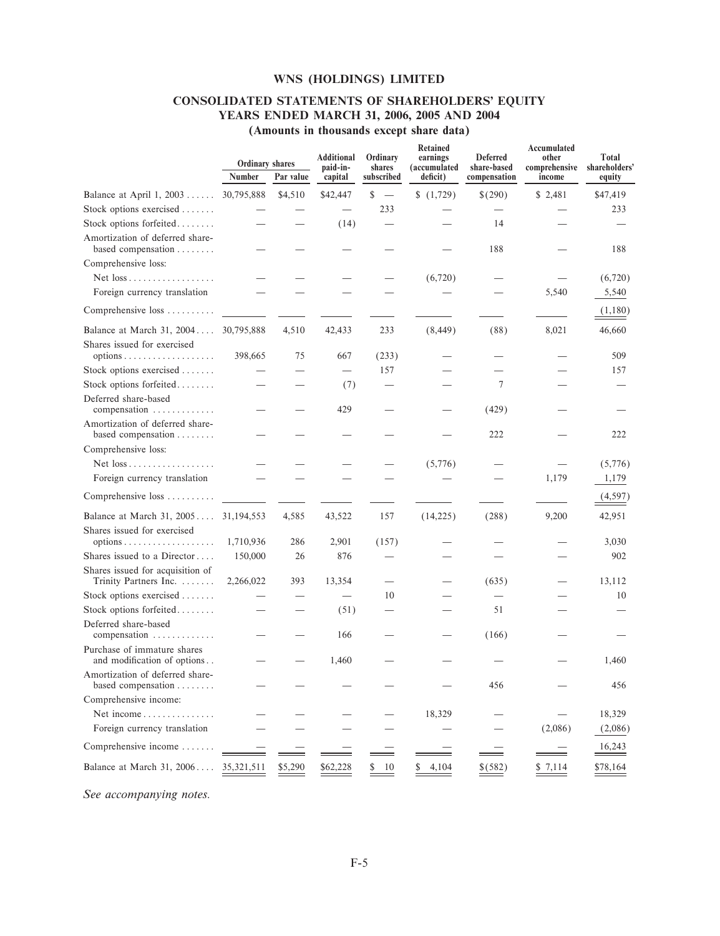# **CONSOLIDATED STATEMENTS OF SHAREHOLDERS' EQUITY YEARS ENDED MARCH 31, 2006, 2005 AND 2004**

| (Amounts in thousands except share data) |  |  |  |  |  |  |
|------------------------------------------|--|--|--|--|--|--|
|------------------------------------------|--|--|--|--|--|--|

|                                                             | <b>Ordinary shares</b> |           | <b>Additional</b><br>paid-in-   | Ordinary<br>shares             | <b>Retained</b><br>earnings<br>(accumulated | <b>Deferred</b><br>share-based | Accumulated<br>other<br>comprehensive | Total<br>shareholders' |
|-------------------------------------------------------------|------------------------|-----------|---------------------------------|--------------------------------|---------------------------------------------|--------------------------------|---------------------------------------|------------------------|
|                                                             | Number                 | Par value | capital                         | subscribed                     | deficit)                                    | compensation                   | income                                | equity                 |
| Balance at April 1, $2003$                                  | 30,795,888             | \$4,510   | \$42,447                        | \$<br>$\overline{\phantom{a}}$ | (1,729)                                     | \$(290)                        | \$2,481                               | \$47,419               |
| Stock options exercised $\dots\dots$                        |                        |           |                                 | 233                            |                                             |                                |                                       | 233                    |
| Stock options forfeited                                     |                        |           | (14)                            |                                |                                             | 14                             |                                       |                        |
| Amortization of deferred share-<br>based compensation       |                        |           |                                 |                                |                                             | 188                            |                                       | 188                    |
| Comprehensive loss:                                         |                        |           |                                 |                                |                                             |                                |                                       |                        |
|                                                             |                        |           |                                 |                                | (6,720)                                     |                                |                                       | (6,720)                |
| Foreign currency translation                                |                        |           |                                 |                                |                                             |                                | 5,540                                 | 5,540                  |
| Comprehensive loss                                          |                        |           |                                 |                                |                                             |                                |                                       | (1,180)                |
| Balance at March 31, 2004 30,795,888                        |                        | 4,510     | 42,433                          | 233                            | (8, 449)                                    | (88)                           | 8,021                                 | 46,660                 |
| Shares issued for exercised                                 |                        |           |                                 |                                |                                             |                                |                                       |                        |
|                                                             | 398,665                | 75        | 667                             | (233)                          |                                             |                                |                                       | 509                    |
| Stock options exercised                                     |                        |           | $\overbrace{\phantom{1232211}}$ | 157                            |                                             |                                |                                       | 157                    |
| Stock options forfeited                                     |                        |           | (7)                             |                                |                                             | $\tau$                         |                                       |                        |
| Deferred share-based<br>compensation $\ldots \ldots \ldots$ |                        |           | 429                             |                                |                                             | (429)                          |                                       |                        |
| Amortization of deferred share-<br>based compensation       |                        |           |                                 |                                |                                             | 222                            |                                       | 222                    |
| Comprehensive loss:                                         |                        |           |                                 |                                |                                             |                                |                                       |                        |
|                                                             |                        |           |                                 |                                | (5,776)                                     |                                |                                       | (5,776)                |
| Foreign currency translation                                |                        |           |                                 |                                |                                             |                                | 1,179                                 | 1,179                  |
| Comprehensive loss                                          |                        |           |                                 |                                |                                             |                                |                                       | (4, 597)               |
| Balance at March 31, 2005 31,194,553                        |                        | 4,585     | 43,522                          | 157                            | (14, 225)                                   | (288)                          | 9,200                                 | 42,951                 |
| Shares issued for exercised                                 |                        |           |                                 |                                |                                             |                                |                                       |                        |
| $options \dots \dots \dots \dots \dots \dots$               | 1,710,936              | 286       | 2,901                           | (157)                          |                                             |                                |                                       | 3,030                  |
| Shares issued to a Director                                 | 150,000                | 26        | 876                             |                                |                                             |                                |                                       | 902                    |
| Shares issued for acquisition of<br>Trinity Partners Inc.   | 2,266,022              | 393       | 13,354                          | $\overline{\phantom{0}}$       |                                             | (635)                          |                                       | 13,112                 |
| Stock options exercised                                     |                        |           |                                 | 10                             |                                             |                                |                                       | 10                     |
| Stock options forfeited                                     |                        |           | (51)                            |                                |                                             | 51                             |                                       |                        |
| Deferred share-based<br>$compensation$                      |                        |           | 166                             |                                |                                             | (166)                          |                                       |                        |
| Purchase of immature shares<br>and modification of options  |                        |           | 1,460                           |                                |                                             |                                |                                       | 1,460                  |
| Amortization of deferred share-<br>based compensation       |                        |           |                                 |                                |                                             | 456                            |                                       | 456                    |
| Comprehensive income:                                       |                        |           |                                 |                                |                                             |                                |                                       |                        |
| Net income                                                  |                        |           |                                 |                                | 18,329                                      |                                |                                       | 18,329                 |
| Foreign currency translation                                |                        |           |                                 |                                |                                             |                                | (2,086)                               | (2,086)                |
| Comprehensive income                                        |                        |           |                                 |                                |                                             |                                |                                       | 16,243                 |
| Balance at March 31, 2006                                   | 35,321,511             | \$5,290   | \$62,228                        | \$<br>10                       | \$<br>4,104                                 | \$(582)                        | \$7,114                               | \$78,164               |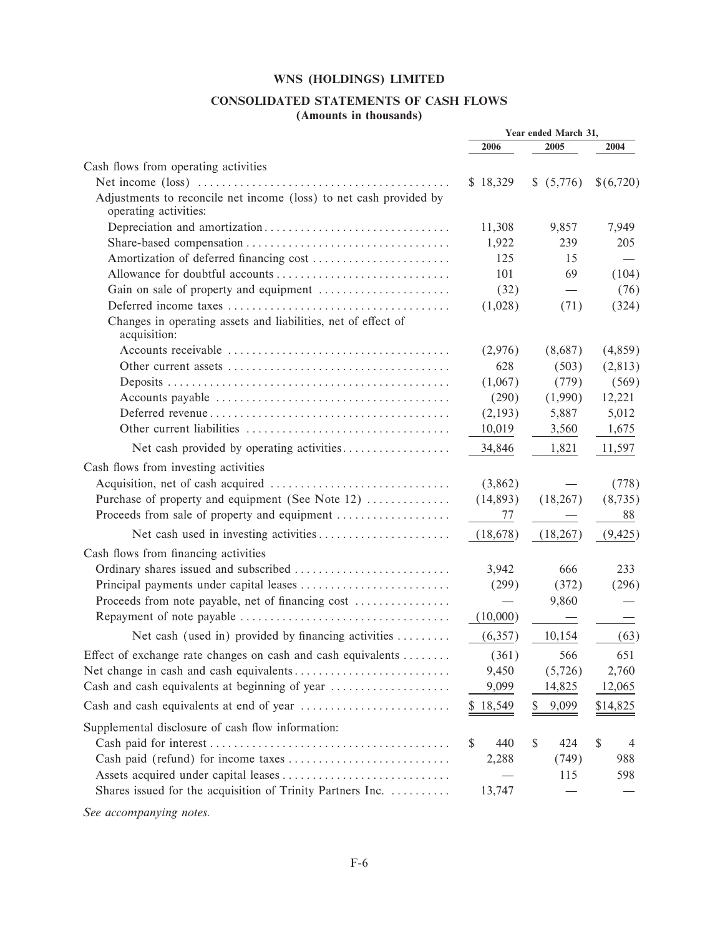### CONSOLIDATED STATEMENTS OF CASH FLOWS (Amounts in thousands)

|                                                                                             | Year ended March 31, |               |           |  |
|---------------------------------------------------------------------------------------------|----------------------|---------------|-----------|--|
|                                                                                             | 2006                 | 2005          | 2004      |  |
| Cash flows from operating activities                                                        |                      |               |           |  |
|                                                                                             | \$18,329             | (5,776)<br>\$ | \$(6,720) |  |
| Adjustments to reconcile net income (loss) to net cash provided by<br>operating activities: |                      |               |           |  |
|                                                                                             | 11,308               | 9,857         | 7,949     |  |
|                                                                                             | 1,922                | 239           | 205       |  |
|                                                                                             | 125                  | 15            |           |  |
|                                                                                             | 101                  | 69            | (104)     |  |
|                                                                                             | (32)                 |               | (76)      |  |
|                                                                                             | (1,028)              | (71)          | (324)     |  |
| Changes in operating assets and liabilities, net of effect of<br>acquisition:               |                      |               |           |  |
|                                                                                             | (2,976)              | (8,687)       | (4,859)   |  |
|                                                                                             | 628                  | (503)         | (2,813)   |  |
|                                                                                             | (1,067)              | (779)         | (569)     |  |
|                                                                                             | (290)                | (1,990)       | 12,221    |  |
|                                                                                             | (2,193)              | 5,887         | 5,012     |  |
|                                                                                             | 10,019               | 3,560         | 1,675     |  |
| Net cash provided by operating activities                                                   | 34,846               | 1,821         | 11,597    |  |
| Cash flows from investing activities                                                        |                      |               |           |  |
|                                                                                             | (3,862)              |               | (778)     |  |
| Purchase of property and equipment (See Note 12)                                            | (14,893)             | (18, 267)     | (8, 735)  |  |
| Proceeds from sale of property and equipment                                                | 77                   |               | 88        |  |
|                                                                                             | (18,678)             | (18, 267)     | (9, 425)  |  |
| Cash flows from financing activities                                                        |                      |               |           |  |
|                                                                                             | 3,942                | 666           | 233       |  |
|                                                                                             | (299)                | (372)         | (296)     |  |
| Proceeds from note payable, net of financing cost                                           |                      | 9,860         |           |  |
|                                                                                             | (10,000)             |               |           |  |
| Net cash (used in) provided by financing activities                                         | (6,357)              | 10,154        | (63)      |  |
| Effect of exchange rate changes on cash and cash equivalents                                | (361)                | 566           | 651       |  |
|                                                                                             | 9,450                | (5, 726)      | 2,760     |  |
| Cash and cash equivalents at beginning of year                                              | 9,099                | 14,825        | 12,065    |  |
|                                                                                             | \$18,549             | 9,099<br>\$   | \$14,825  |  |
| Supplemental disclosure of cash flow information:                                           |                      |               |           |  |
|                                                                                             | <sup>\$</sup><br>440 | \$<br>424     | S<br>4    |  |
|                                                                                             | 2,288                | (749)         | 988       |  |
|                                                                                             |                      | 115           | 598       |  |
| Shares issued for the acquisition of Trinity Partners Inc.                                  | 13,747               |               |           |  |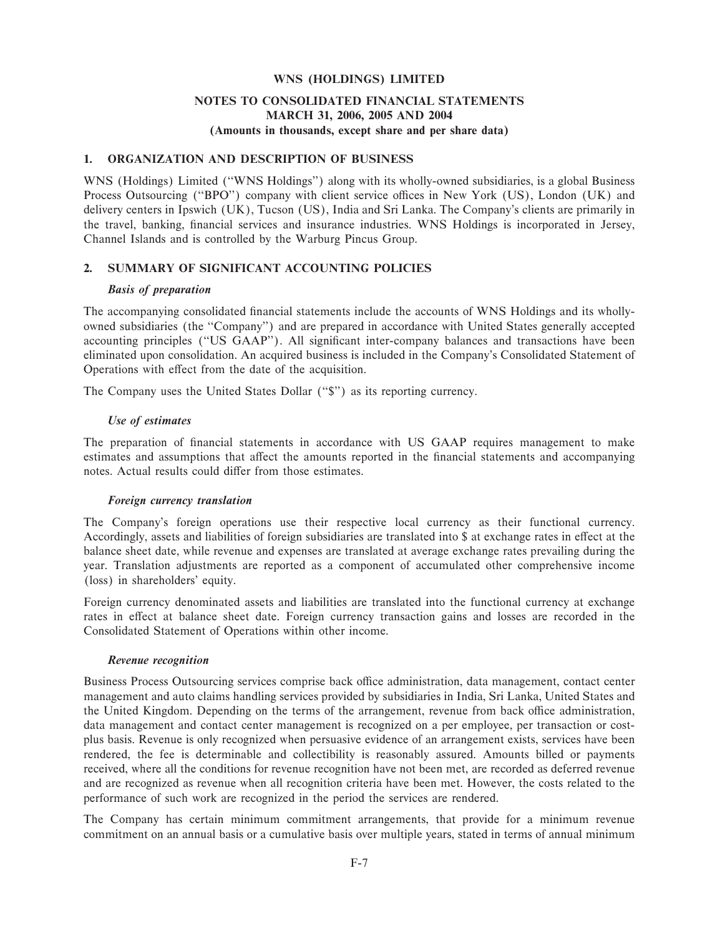### **NOTES TO CONSOLIDATED FINANCIAL STATEMENTS MARCH 31, 2006, 2005 AND 2004 (Amounts in thousands, except share and per share data)**

### **1. ORGANIZATION AND DESCRIPTION OF BUSINESS**

WNS (Holdings) Limited ("WNS Holdings") along with its wholly-owned subsidiaries, is a global Business Process Outsourcing ("BPO") company with client service offices in New York (US), London (UK) and delivery centers in Ipswich (UK), Tucson (US), India and Sri Lanka. The Company's clients are primarily in the travel, banking, financial services and insurance industries. WNS Holdings is incorporated in Jersey, Channel Islands and is controlled by the Warburg Pincus Group.

### **2. SUMMARY OF SIGNIFICANT ACCOUNTING POLICIES**

#### *Basis of preparation*

The accompanying consolidated financial statements include the accounts of WNS Holdings and its whollyowned subsidiaries (the "Company") and are prepared in accordance with United States generally accepted accounting principles ("US GAAP"). All significant inter-company balances and transactions have been eliminated upon consolidation. An acquired business is included in the Company's Consolidated Statement of Operations with effect from the date of the acquisition.

The Company uses the United States Dollar ("\$") as its reporting currency.

### *Use of estimates*

The preparation of financial statements in accordance with US GAAP requires management to make estimates and assumptions that affect the amounts reported in the financial statements and accompanying notes. Actual results could differ from those estimates.

#### *Foreign currency translation*

The Company's foreign operations use their respective local currency as their functional currency. Accordingly, assets and liabilities of foreign subsidiaries are translated into \$ at exchange rates in effect at the balance sheet date, while revenue and expenses are translated at average exchange rates prevailing during the year. Translation adjustments are reported as a component of accumulated other comprehensive income (loss) in shareholders' equity.

Foreign currency denominated assets and liabilities are translated into the functional currency at exchange rates in effect at balance sheet date. Foreign currency transaction gains and losses are recorded in the Consolidated Statement of Operations within other income.

#### *Revenue recognition*

Business Process Outsourcing services comprise back office administration, data management, contact center management and auto claims handling services provided by subsidiaries in India, Sri Lanka, United States and the United Kingdom. Depending on the terms of the arrangement, revenue from back office administration, data management and contact center management is recognized on a per employee, per transaction or costplus basis. Revenue is only recognized when persuasive evidence of an arrangement exists, services have been rendered, the fee is determinable and collectibility is reasonably assured. Amounts billed or payments received, where all the conditions for revenue recognition have not been met, are recorded as deferred revenue and are recognized as revenue when all recognition criteria have been met. However, the costs related to the performance of such work are recognized in the period the services are rendered.

The Company has certain minimum commitment arrangements, that provide for a minimum revenue commitment on an annual basis or a cumulative basis over multiple years, stated in terms of annual minimum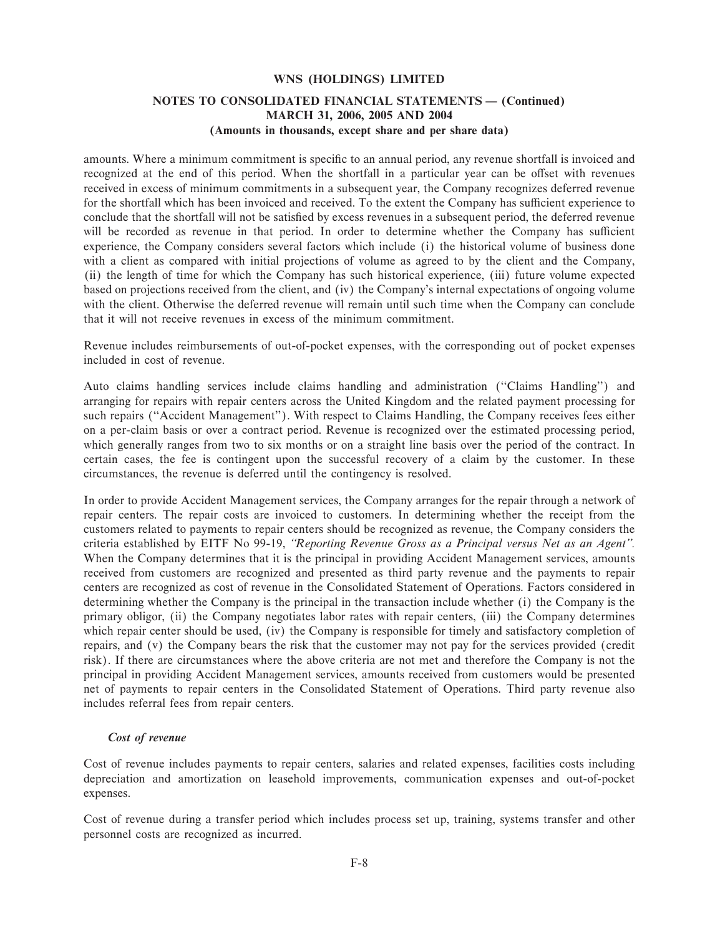### **NOTES TO CONSOLIDATED FINANCIAL STATEMENTS - (Continued) MARCH 31, 2006, 2005 AND 2004 (Amounts in thousands, except share and per share data)**

amounts. Where a minimum commitment is specific to an annual period, any revenue shortfall is invoiced and recognized at the end of this period. When the shortfall in a particular year can be offset with revenues received in excess of minimum commitments in a subsequent year, the Company recognizes deferred revenue for the shortfall which has been invoiced and received. To the extent the Company has sufficient experience to conclude that the shortfall will not be satisfied by excess revenues in a subsequent period, the deferred revenue will be recorded as revenue in that period. In order to determine whether the Company has sufficient experience, the Company considers several factors which include (i) the historical volume of business done with a client as compared with initial projections of volume as agreed to by the client and the Company, (ii) the length of time for which the Company has such historical experience, (iii) future volume expected based on projections received from the client, and (iv) the Company's internal expectations of ongoing volume with the client. Otherwise the deferred revenue will remain until such time when the Company can conclude that it will not receive revenues in excess of the minimum commitment.

Revenue includes reimbursements of out-of-pocket expenses, with the corresponding out of pocket expenses included in cost of revenue.

Auto claims handling services include claims handling and administration (""Claims Handling'') and arranging for repairs with repair centers across the United Kingdom and the related payment processing for such repairs ("Accident Management"). With respect to Claims Handling, the Company receives fees either on a per-claim basis or over a contract period. Revenue is recognized over the estimated processing period, which generally ranges from two to six months or on a straight line basis over the period of the contract. In certain cases, the fee is contingent upon the successful recovery of a claim by the customer. In these circumstances, the revenue is deferred until the contingency is resolved.

In order to provide Accident Management services, the Company arranges for the repair through a network of repair centers. The repair costs are invoiced to customers. In determining whether the receipt from the customers related to payments to repair centers should be recognized as revenue, the Company considers the criteria established by EITF No 99-19, *""Reporting Revenue Gross as a Principal versus Net as an Agent''.* When the Company determines that it is the principal in providing Accident Management services, amounts received from customers are recognized and presented as third party revenue and the payments to repair centers are recognized as cost of revenue in the Consolidated Statement of Operations. Factors considered in determining whether the Company is the principal in the transaction include whether (i) the Company is the primary obligor, (ii) the Company negotiates labor rates with repair centers, (iii) the Company determines which repair center should be used, (iv) the Company is responsible for timely and satisfactory completion of repairs, and (v) the Company bears the risk that the customer may not pay for the services provided (credit risk). If there are circumstances where the above criteria are not met and therefore the Company is not the principal in providing Accident Management services, amounts received from customers would be presented net of payments to repair centers in the Consolidated Statement of Operations. Third party revenue also includes referral fees from repair centers.

#### *Cost of revenue*

Cost of revenue includes payments to repair centers, salaries and related expenses, facilities costs including depreciation and amortization on leasehold improvements, communication expenses and out-of-pocket expenses.

Cost of revenue during a transfer period which includes process set up, training, systems transfer and other personnel costs are recognized as incurred.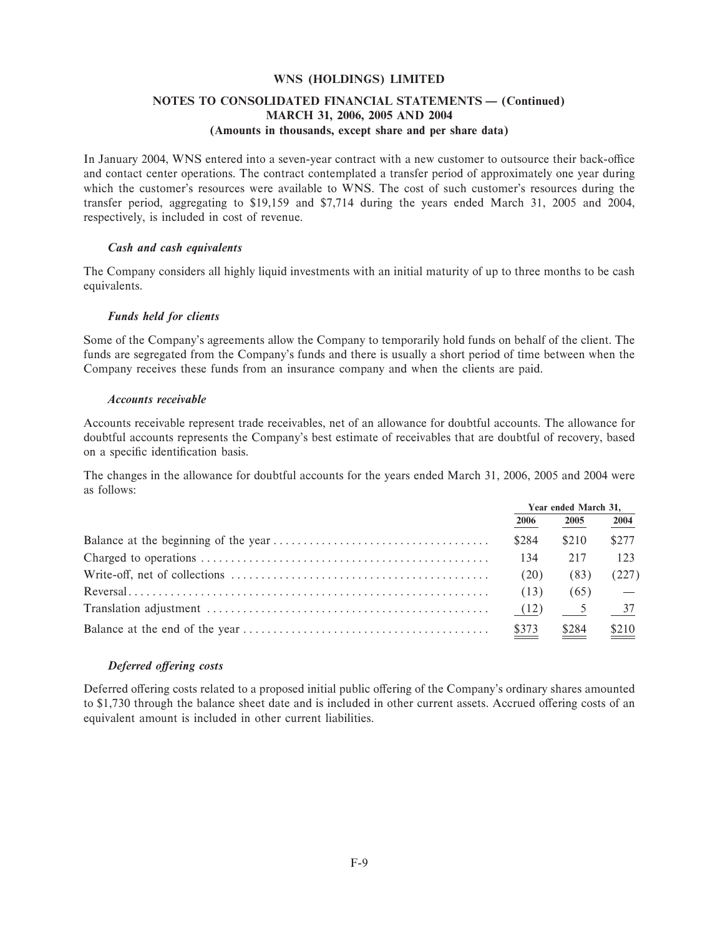### **NOTES TO CONSOLIDATED FINANCIAL STATEMENTS - (Continued) MARCH 31, 2006, 2005 AND 2004 (Amounts in thousands, except share and per share data)**

In January 2004, WNS entered into a seven-year contract with a new customer to outsource their back-office and contact center operations. The contract contemplated a transfer period of approximately one year during which the customer's resources were available to WNS. The cost of such customer's resources during the transfer period, aggregating to \$19,159 and \$7,714 during the years ended March 31, 2005 and 2004, respectively, is included in cost of revenue.

#### *Cash and cash equivalents*

The Company considers all highly liquid investments with an initial maturity of up to three months to be cash equivalents.

#### *Funds held for clients*

Some of the Company's agreements allow the Company to temporarily hold funds on behalf of the client. The funds are segregated from the Company's funds and there is usually a short period of time between when the Company receives these funds from an insurance company and when the clients are paid.

#### *Accounts receivable*

Accounts receivable represent trade receivables, net of an allowance for doubtful accounts. The allowance for doubtful accounts represents the Company's best estimate of receivables that are doubtful of recovery, based on a specific identification basis.

The changes in the allowance for doubtful accounts for the years ended March 31, 2006, 2005 and 2004 were as follows:

| Year ended March 31, |                              |                              |
|----------------------|------------------------------|------------------------------|
| 2006                 | 2005                         | 2004                         |
| \$284                | \$210                        | \$277                        |
| 134                  | 217                          | 123                          |
| (20)                 | (83)                         | (227)                        |
| (13)                 | (65)                         |                              |
| (12)                 | $\frac{5}{2}$ $\frac{37}{2}$ |                              |
| \$373                | \$284                        | $\underline{\frac{$210}{} }$ |

#### *Deferred offering costs*

Deferred offering costs related to a proposed initial public offering of the Company's ordinary shares amounted to \$1,730 through the balance sheet date and is included in other current assets. Accrued offering costs of an equivalent amount is included in other current liabilities.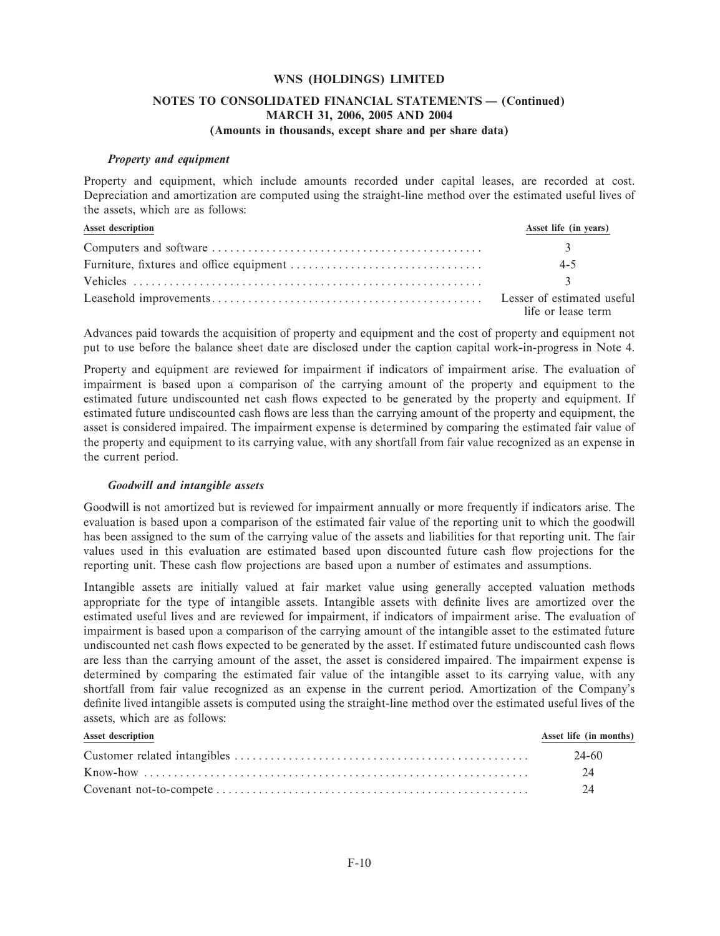### **NOTES TO CONSOLIDATED FINANCIAL STATEMENTS - (Continued) MARCH 31, 2006, 2005 AND 2004 (Amounts in thousands, except share and per share data)**

#### *Property and equipment*

Property and equipment, which include amounts recorded under capital leases, are recorded at cost. Depreciation and amortization are computed using the straight-line method over the estimated useful lives of the assets, which are as follows:

| Asset description | Asset life (in years)                            |
|-------------------|--------------------------------------------------|
|                   |                                                  |
|                   | $4 - 5$                                          |
|                   |                                                  |
|                   | Lesser of estimated useful<br>life or lease term |

Advances paid towards the acquisition of property and equipment and the cost of property and equipment not put to use before the balance sheet date are disclosed under the caption capital work-in-progress in Note 4.

Property and equipment are reviewed for impairment if indicators of impairment arise. The evaluation of impairment is based upon a comparison of the carrying amount of the property and equipment to the estimated future undiscounted net cash flows expected to be generated by the property and equipment. If estimated future undiscounted cash flows are less than the carrying amount of the property and equipment, the asset is considered impaired. The impairment expense is determined by comparing the estimated fair value of the property and equipment to its carrying value, with any shortfall from fair value recognized as an expense in the current period.

#### *Goodwill and intangible assets*

Goodwill is not amortized but is reviewed for impairment annually or more frequently if indicators arise. The evaluation is based upon a comparison of the estimated fair value of the reporting unit to which the goodwill has been assigned to the sum of the carrying value of the assets and liabilities for that reporting unit. The fair values used in this evaluation are estimated based upon discounted future cash Öow projections for the reporting unit. These cash flow projections are based upon a number of estimates and assumptions.

Intangible assets are initially valued at fair market value using generally accepted valuation methods appropriate for the type of intangible assets. Intangible assets with definite lives are amortized over the estimated useful lives and are reviewed for impairment, if indicators of impairment arise. The evaluation of impairment is based upon a comparison of the carrying amount of the intangible asset to the estimated future undiscounted net cash flows expected to be generated by the asset. If estimated future undiscounted cash flows are less than the carrying amount of the asset, the asset is considered impaired. The impairment expense is determined by comparing the estimated fair value of the intangible asset to its carrying value, with any shortfall from fair value recognized as an expense in the current period. Amortization of the Company's definite lived intangible assets is computed using the straight-line method over the estimated useful lives of the assets, which are as follows:

| <b>Asset description</b> | Asset life (in months) |
|--------------------------|------------------------|
|                          | 24-60                  |
|                          | 24                     |
|                          | 24                     |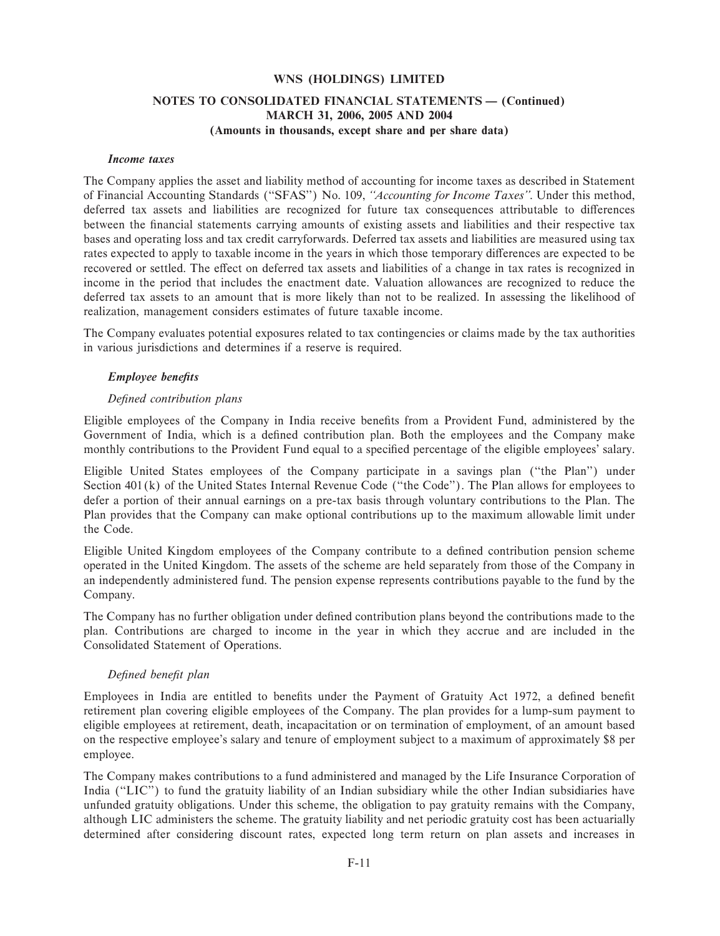### **NOTES TO CONSOLIDATED FINANCIAL STATEMENTS - (Continued) MARCH 31, 2006, 2005 AND 2004 (Amounts in thousands, except share and per share data)**

#### *Income taxes*

The Company applies the asset and liability method of accounting for income taxes as described in Statement of Financial Accounting Standards (""SFAS'') No. 109, *""Accounting for Income Taxes''*. Under this method, deferred tax assets and liabilities are recognized for future tax consequences attributable to differences between the financial statements carrying amounts of existing assets and liabilities and their respective tax bases and operating loss and tax credit carryforwards. Deferred tax assets and liabilities are measured using tax rates expected to apply to taxable income in the years in which those temporary differences are expected to be recovered or settled. The effect on deferred tax assets and liabilities of a change in tax rates is recognized in income in the period that includes the enactment date. Valuation allowances are recognized to reduce the deferred tax assets to an amount that is more likely than not to be realized. In assessing the likelihood of realization, management considers estimates of future taxable income.

The Company evaluates potential exposures related to tax contingencies or claims made by the tax authorities in various jurisdictions and determines if a reserve is required.

#### Employee benefits

#### *DeÑned contribution plans*

Eligible employees of the Company in India receive benefits from a Provident Fund, administered by the Government of India, which is a defined contribution plan. Both the employees and the Company make monthly contributions to the Provident Fund equal to a specified percentage of the eligible employees' salary.

Eligible United States employees of the Company participate in a savings plan (""the Plan'') under Section 401(k) of the United States Internal Revenue Code ("the Code"). The Plan allows for employees to defer a portion of their annual earnings on a pre-tax basis through voluntary contributions to the Plan. The Plan provides that the Company can make optional contributions up to the maximum allowable limit under the Code.

Eligible United Kingdom employees of the Company contribute to a defined contribution pension scheme operated in the United Kingdom. The assets of the scheme are held separately from those of the Company in an independently administered fund. The pension expense represents contributions payable to the fund by the Company.

The Company has no further obligation under defined contribution plans beyond the contributions made to the plan. Contributions are charged to income in the year in which they accrue and are included in the Consolidated Statement of Operations.

### *DeÑned beneÑt plan*

Employees in India are entitled to benefits under the Payment of Gratuity Act 1972, a defined benefit retirement plan covering eligible employees of the Company. The plan provides for a lump-sum payment to eligible employees at retirement, death, incapacitation or on termination of employment, of an amount based on the respective employee's salary and tenure of employment subject to a maximum of approximately \$8 per employee.

The Company makes contributions to a fund administered and managed by the Life Insurance Corporation of India (""LIC'') to fund the gratuity liability of an Indian subsidiary while the other Indian subsidiaries have unfunded gratuity obligations. Under this scheme, the obligation to pay gratuity remains with the Company, although LIC administers the scheme. The gratuity liability and net periodic gratuity cost has been actuarially determined after considering discount rates, expected long term return on plan assets and increases in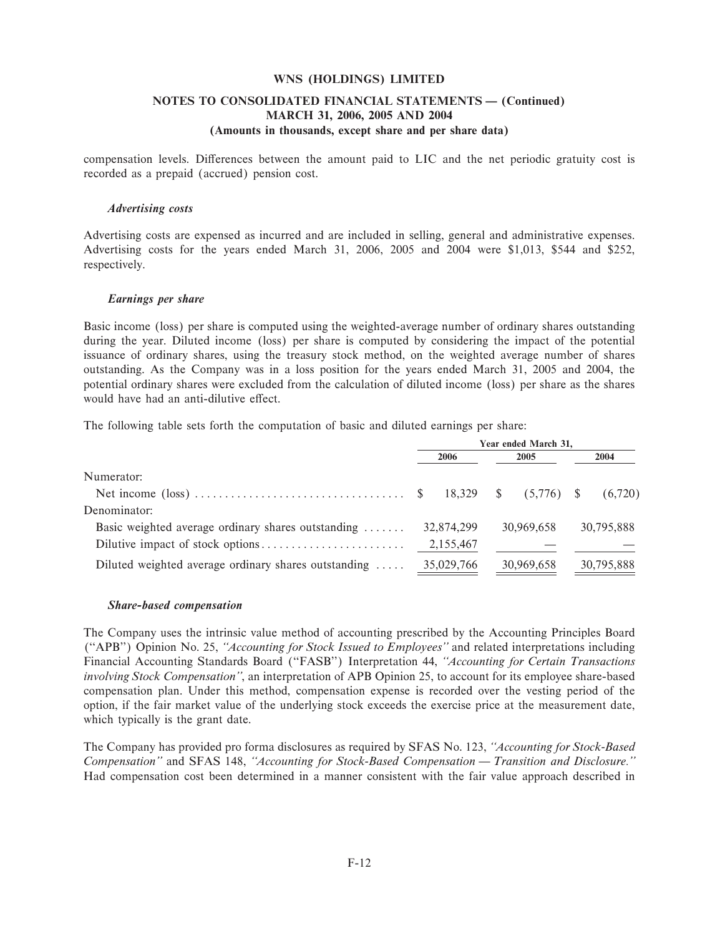### **NOTES TO CONSOLIDATED FINANCIAL STATEMENTS - (Continued) MARCH 31, 2006, 2005 AND 2004 (Amounts in thousands, except share and per share data)**

compensation levels. Differences between the amount paid to LIC and the net periodic gratuity cost is recorded as a prepaid (accrued) pension cost.

#### *Advertising costs*

Advertising costs are expensed as incurred and are included in selling, general and administrative expenses. Advertising costs for the years ended March 31, 2006, 2005 and 2004 were \$1,013, \$544 and \$252, respectively.

#### *Earnings per share*

Basic income (loss) per share is computed using the weighted-average number of ordinary shares outstanding during the year. Diluted income (loss) per share is computed by considering the impact of the potential issuance of ordinary shares, using the treasury stock method, on the weighted average number of shares outstanding. As the Company was in a loss position for the years ended March 31, 2005 and 2004, the potential ordinary shares were excluded from the calculation of diluted income (loss) per share as the shares would have had an anti-dilutive effect.

The following table sets forth the computation of basic and diluted earnings per share:

|                                                              | Year ended March 31, |            |  |            |  |            |  |
|--------------------------------------------------------------|----------------------|------------|--|------------|--|------------|--|
|                                                              |                      | 2006       |  | 2005       |  | 2004       |  |
| Numerator:                                                   |                      |            |  |            |  |            |  |
|                                                              |                      |            |  |            |  | (6,720)    |  |
| Denominator:                                                 |                      |            |  |            |  |            |  |
| Basic weighted average ordinary shares outstanding           |                      | 32,874,299 |  | 30,969,658 |  | 30,795,888 |  |
|                                                              |                      | 2,155,467  |  |            |  |            |  |
| Diluted weighted average ordinary shares outstanding $\dots$ |                      | 35,029,766 |  | 30,969,658 |  | 30,795,888 |  |

#### *Share-based compensation*

The Company uses the intrinsic value method of accounting prescribed by the Accounting Principles Board (""APB'') Opinion No. 25, *""Accounting for Stock Issued to Employees''* and related interpretations including Financial Accounting Standards Board (""FASB'') Interpretation 44, *""Accounting for Certain Transactions involving Stock Compensation''*, an interpretation of APB Opinion 25, to account for its employee share-based compensation plan. Under this method, compensation expense is recorded over the vesting period of the option, if the fair market value of the underlying stock exceeds the exercise price at the measurement date, which typically is the grant date.

The Company has provided pro forma disclosures as required by SFAS No. 123, *""Accounting for Stock-Based Compensation''* and SFAS 148, "Accounting for Stock-Based Compensation — Transition and Disclosure." Had compensation cost been determined in a manner consistent with the fair value approach described in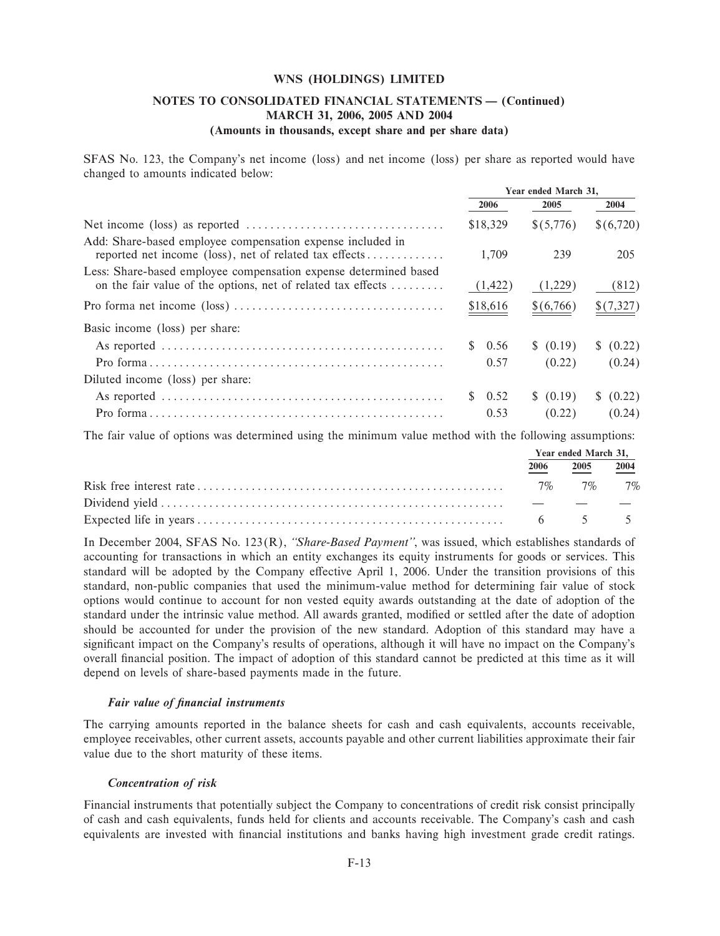### **NOTES TO CONSOLIDATED FINANCIAL STATEMENTS - (Continued) MARCH 31, 2006, 2005 AND 2004 (Amounts in thousands, except share and per share data)**

SFAS No. 123, the Company's net income (loss) and net income (loss) per share as reported would have changed to amounts indicated below:

|                                                                                                                                  | Year ended March 31, |           |           |  |
|----------------------------------------------------------------------------------------------------------------------------------|----------------------|-----------|-----------|--|
|                                                                                                                                  | 2006                 | 2005      | 2004      |  |
| Net income (loss) as reported $\dots \dots \dots \dots \dots \dots \dots \dots \dots \dots \dots$                                | \$18,329             | \$(5,776) | \$(6,720) |  |
| Add: Share-based employee compensation expense included in<br>reported net income (loss), net of related tax effects             | 1.709                | 239       | 205       |  |
| Less: Share-based employee compensation expense determined based<br>on the fair value of the options, net of related tax effects | (1, 422)             | (1,229)   | (812)     |  |
|                                                                                                                                  | \$18,616             | \$(6,766) | \$(7,327) |  |
| Basic income (loss) per share:                                                                                                   |                      |           |           |  |
|                                                                                                                                  | 0.56                 | \$ (0.19) | \$ (0.22) |  |
|                                                                                                                                  | 0.57                 | (0.22)    | (0.24)    |  |
| Diluted income (loss) per share:                                                                                                 |                      |           |           |  |
|                                                                                                                                  | $\frac{\$}{0.52}$    | \$ (0.19) | \$ (0.22) |  |
|                                                                                                                                  | 0.53                 | (0.22)    | (0.24)    |  |

The fair value of options was determined using the minimum value method with the following assumptions:

| Year ended March 31, |                   |  |  |
|----------------------|-------------------|--|--|
| 2006                 | 2005 2004         |  |  |
|                      | $7\%$ $7\%$ $7\%$ |  |  |
|                      |                   |  |  |
|                      |                   |  |  |

In December 2004, SFAS No. 123(R), *""Share-Based Payment''*, was issued, which establishes standards of accounting for transactions in which an entity exchanges its equity instruments for goods or services. This standard will be adopted by the Company effective April 1, 2006. Under the transition provisions of this standard, non-public companies that used the minimum-value method for determining fair value of stock options would continue to account for non vested equity awards outstanding at the date of adoption of the standard under the intrinsic value method. All awards granted, modified or settled after the date of adoption should be accounted for under the provision of the new standard. Adoption of this standard may have a significant impact on the Company's results of operations, although it will have no impact on the Company's overall Ñnancial position. The impact of adoption of this standard cannot be predicted at this time as it will depend on levels of share-based payments made in the future.

### *Fair value of financial instruments*

The carrying amounts reported in the balance sheets for cash and cash equivalents, accounts receivable, employee receivables, other current assets, accounts payable and other current liabilities approximate their fair value due to the short maturity of these items.

### *Concentration of risk*

Financial instruments that potentially subject the Company to concentrations of credit risk consist principally of cash and cash equivalents, funds held for clients and accounts receivable. The Company's cash and cash equivalents are invested with financial institutions and banks having high investment grade credit ratings.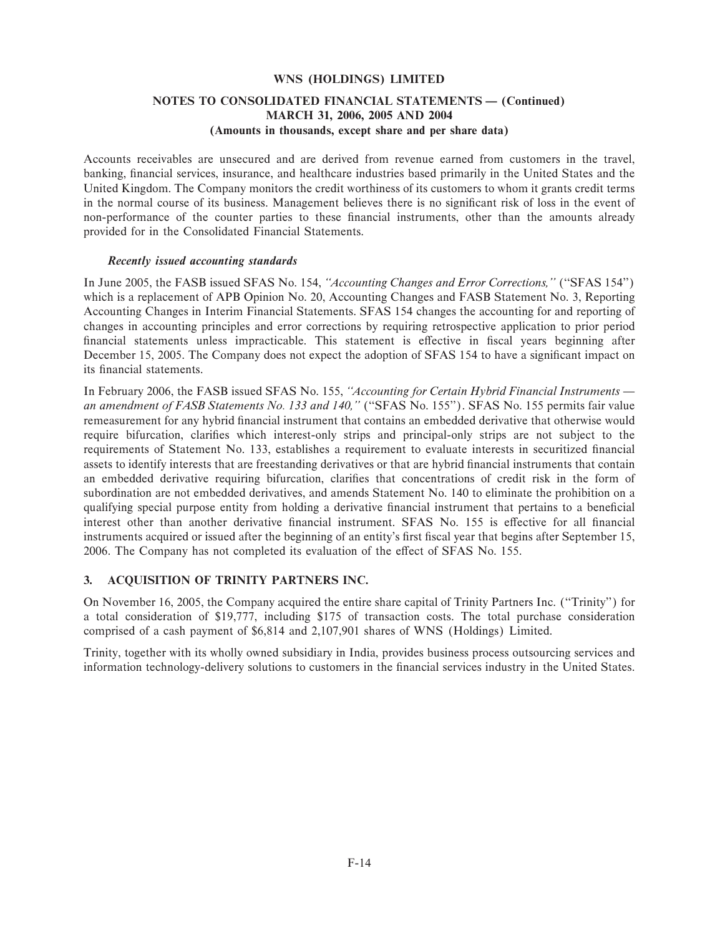### **NOTES TO CONSOLIDATED FINANCIAL STATEMENTS - (Continued) MARCH 31, 2006, 2005 AND 2004 (Amounts in thousands, except share and per share data)**

Accounts receivables are unsecured and are derived from revenue earned from customers in the travel, banking, financial services, insurance, and healthcare industries based primarily in the United States and the United Kingdom. The Company monitors the credit worthiness of its customers to whom it grants credit terms in the normal course of its business. Management believes there is no significant risk of loss in the event of non-performance of the counter parties to these financial instruments, other than the amounts already provided for in the Consolidated Financial Statements.

#### *Recently issued accounting standards*

In June 2005, the FASB issued SFAS No. 154, *""Accounting Changes and Error Corrections,''* (""SFAS 154'') which is a replacement of APB Opinion No. 20, Accounting Changes and FASB Statement No. 3, Reporting Accounting Changes in Interim Financial Statements. SFAS 154 changes the accounting for and reporting of changes in accounting principles and error corrections by requiring retrospective application to prior period financial statements unless impracticable. This statement is effective in fiscal years beginning after December 15, 2005. The Company does not expect the adoption of SFAS 154 to have a significant impact on its financial statements.

In February 2006, the FASB issued SFAS No. 155, "Accounting for Certain Hybrid Financial Instruments an amendment of FASB Statements No. 133 and 140," ("SFAS No. 155"). SFAS No. 155 permits fair value remeasurement for any hybrid financial instrument that contains an embedded derivative that otherwise would require bifurcation, clarifies which interest-only strips and principal-only strips are not subject to the requirements of Statement No. 133, establishes a requirement to evaluate interests in securitized financial assets to identify interests that are freestanding derivatives or that are hybrid financial instruments that contain an embedded derivative requiring bifurcation, clarifies that concentrations of credit risk in the form of subordination are not embedded derivatives, and amends Statement No. 140 to eliminate the prohibition on a qualifying special purpose entity from holding a derivative financial instrument that pertains to a beneficial interest other than another derivative financial instrument. SFAS No. 155 is effective for all financial instruments acquired or issued after the beginning of an entity's first fiscal year that begins after September 15, 2006. The Company has not completed its evaluation of the effect of SFAS No. 155.

### **3. ACQUISITION OF TRINITY PARTNERS INC.**

On November 16, 2005, the Company acquired the entire share capital of Trinity Partners Inc. (""Trinity'') for a total consideration of \$19,777, including \$175 of transaction costs. The total purchase consideration comprised of a cash payment of \$6,814 and 2,107,901 shares of WNS (Holdings) Limited.

Trinity, together with its wholly owned subsidiary in India, provides business process outsourcing services and information technology-delivery solutions to customers in the financial services industry in the United States.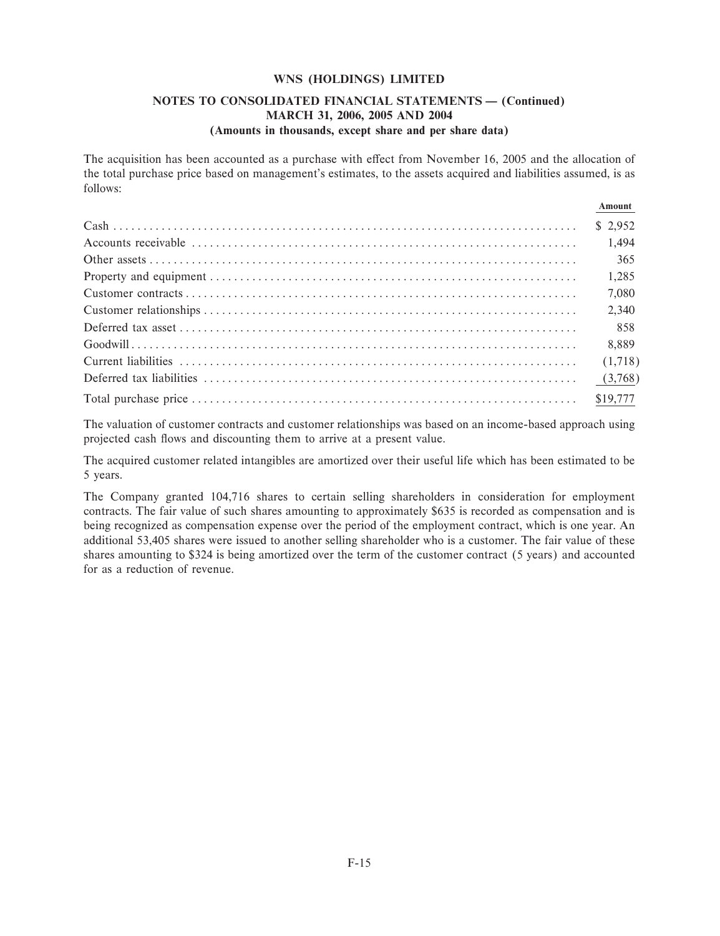### **NOTES TO CONSOLIDATED FINANCIAL STATEMENTS - (Continued) MARCH 31, 2006, 2005 AND 2004 (Amounts in thousands, except share and per share data)**

The acquisition has been accounted as a purchase with effect from November 16, 2005 and the allocation of the total purchase price based on management's estimates, to the assets acquired and liabilities assumed, is as follows:

**Amount**

| ашуаш   |
|---------|
|         |
| 1,494   |
| 365     |
| 1,285   |
| 7,080   |
| 2,340   |
| 858     |
| 8,889   |
| (1,718) |
| (3,768) |
|         |

The valuation of customer contracts and customer relationships was based on an income-based approach using projected cash flows and discounting them to arrive at a present value.

The acquired customer related intangibles are amortized over their useful life which has been estimated to be 5 years.

The Company granted 104,716 shares to certain selling shareholders in consideration for employment contracts. The fair value of such shares amounting to approximately \$635 is recorded as compensation and is being recognized as compensation expense over the period of the employment contract, which is one year. An additional 53,405 shares were issued to another selling shareholder who is a customer. The fair value of these shares amounting to \$324 is being amortized over the term of the customer contract (5 years) and accounted for as a reduction of revenue.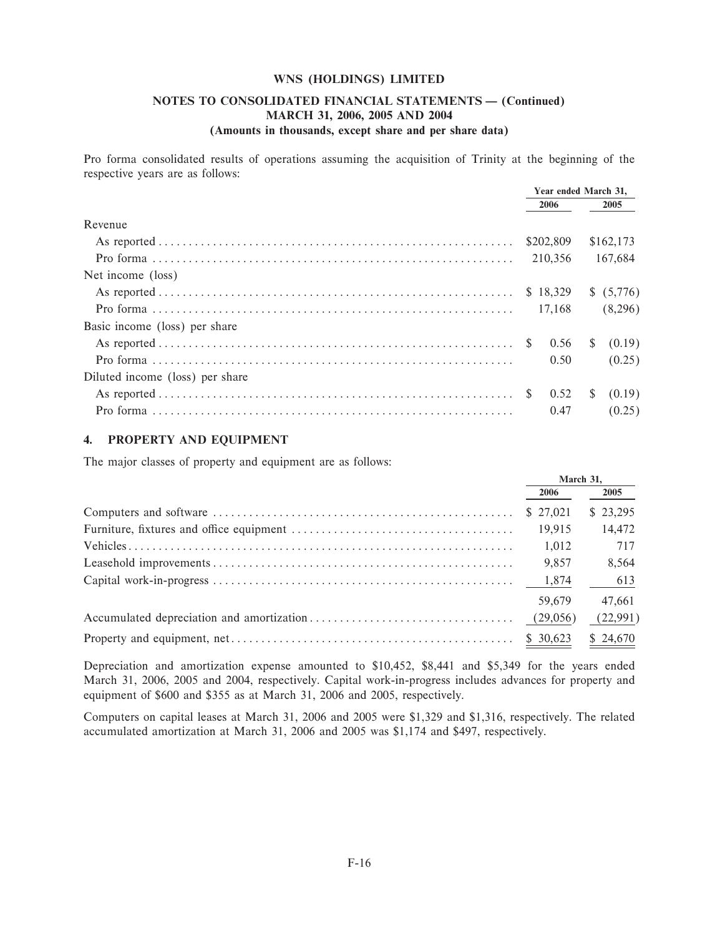### **NOTES TO CONSOLIDATED FINANCIAL STATEMENTS - (Continued) MARCH 31, 2006, 2005 AND 2004 (Amounts in thousands, except share and per share data)**

Pro forma consolidated results of operations assuming the acquisition of Trinity at the beginning of the respective years are as follows:

|                                 | Year ended March 31, |           |
|---------------------------------|----------------------|-----------|
|                                 | 2006                 | 2005      |
| Revenue                         |                      |           |
|                                 | \$202,809            | \$162,173 |
|                                 | 210.356              | 167,684   |
| Net income (loss)               |                      |           |
|                                 |                      |           |
| Pro forma $(8,296)$             |                      |           |
| Basic income (loss) per share   |                      |           |
|                                 |                      |           |
|                                 | 0.50                 | (0.25)    |
| Diluted income (loss) per share |                      |           |
|                                 |                      | (0.19)    |
|                                 | 0.47                 | (0.25)    |

### **4. PROPERTY AND EQUIPMENT**

The major classes of property and equipment are as follows:

| March 31, |          |
|-----------|----------|
| 2006      | 2005     |
| \$27,021  | \$23,295 |
| 19.915    | 14,472   |
| 1,012     | 717      |
| 9,857     | 8,564    |
|           | 613      |
| 59.679    | 47.661   |
| (29,056)  | (22,991) |
| \$30,623  | \$24,670 |

Depreciation and amortization expense amounted to \$10,452, \$8,441 and \$5,349 for the years ended March 31, 2006, 2005 and 2004, respectively. Capital work-in-progress includes advances for property and equipment of \$600 and \$355 as at March 31, 2006 and 2005, respectively.

Computers on capital leases at March 31, 2006 and 2005 were \$1,329 and \$1,316, respectively. The related accumulated amortization at March 31, 2006 and 2005 was \$1,174 and \$497, respectively.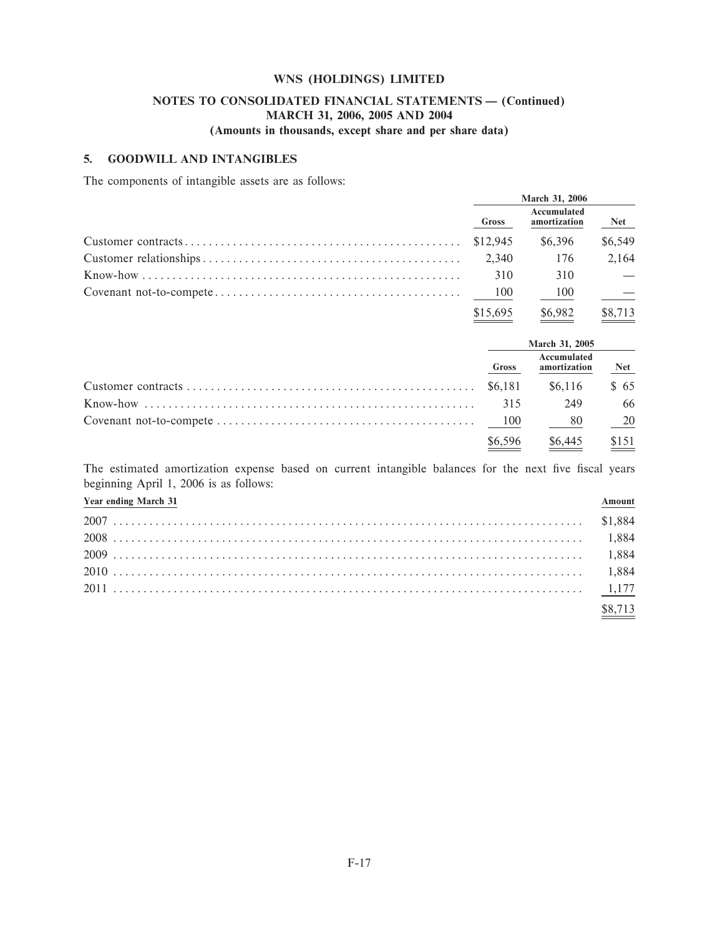# **NOTES TO CONSOLIDATED FINANCIAL STATEMENTS - (Continued) MARCH 31, 2006, 2005 AND 2004**

# **(Amounts in thousands, except share and per share data)**

### **5. GOODWILL AND INTANGIBLES**

The components of intangible assets are as follows:

| <b>March 31, 2006</b> |                             |          |
|-----------------------|-----------------------------|----------|
| <b>Gross</b>          | Accumulated<br>amortization | $N_{et}$ |
|                       | \$6,396                     | \$6,549  |
| 2.340                 | - 176                       | 2,164    |
| 310                   | 310                         |          |
| - 100                 | 100                         |          |
| \$15,695              | \$6,982                     | \$8,713  |

| March 31, 2005 |                             |            |
|----------------|-----------------------------|------------|
| <b>Gross</b>   | Accumulated<br>amortization | <b>Net</b> |
|                | \$6.116                     | \$65       |
| 315            | 249                         | 66         |
|                | 80                          | - 20       |
| \$6,596        | \$6,445                     | \$151      |

The estimated amortization expense based on current intangible balances for the next five fiscal years beginning April 1, 2006 is as follows:

| <b>Year ending March 31</b> | Amount  |
|-----------------------------|---------|
|                             |         |
|                             |         |
|                             |         |
|                             |         |
|                             |         |
|                             | \$8.713 |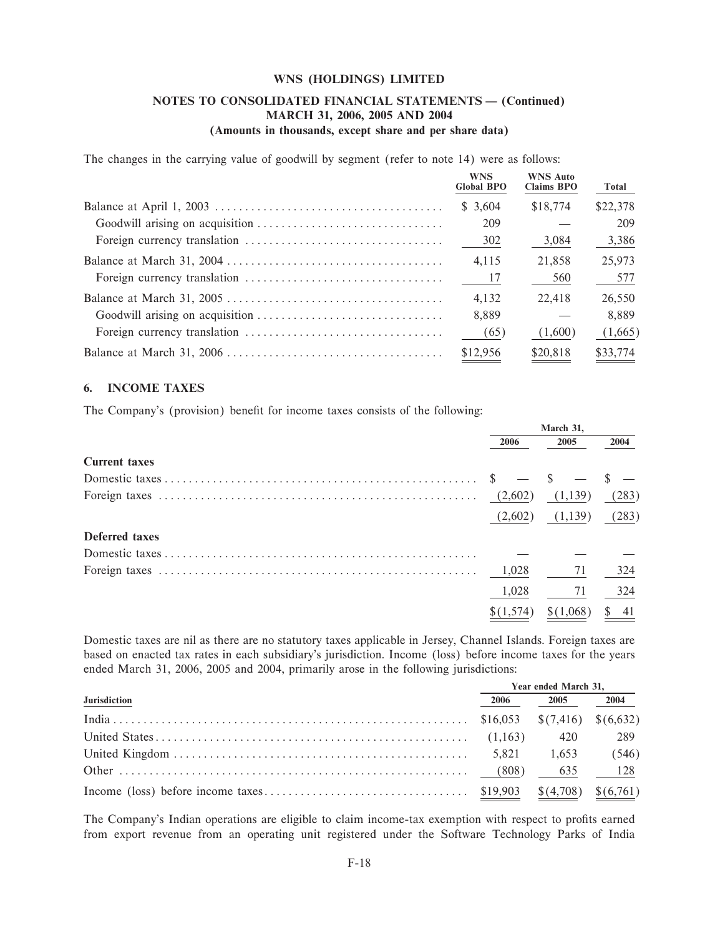### NOTES TO CONSOLIDATED FINANCIAL STATEMENTS - (Continued) MARCH 31, 2006, 2005 AND 2004 (Amounts in thousands, except share and per share data)

The changes in the carrying value of goodwill by segment (refer to note 14) were as follows:

| <b>WNS</b><br><b>Global BPO</b> | <b>WNS Auto</b><br><b>Claims BPO</b> | Total    |
|---------------------------------|--------------------------------------|----------|
| \$3.604                         | \$18,774                             | \$22,378 |
| 209                             |                                      | 209      |
| 302                             | 3,084                                | 3,386    |
| 4,115                           | 21,858                               | 25,973   |
| 17                              | 560                                  | 577      |
| 4.132                           | 22.418                               | 26,550   |
| 8.889                           |                                      | 8.889    |
| (65)                            | (1,600)                              | (1,665)  |
| \$12,956                        | \$20,818                             | \$33,774 |

#### **INCOME TAXES** 6.

The Company's (provision) benefit for income taxes consists of the following:

| March 31, |           |       |
|-----------|-----------|-------|
| 2006      | 2005      | 2004  |
|           |           |       |
|           |           |       |
|           | (1,139)   | (283) |
| (2,602)   | (1,139)   | (283) |
|           |           |       |
|           |           |       |
| 1,028     | 71        | 324   |
| 1,028     |           | 324   |
|           | \$(1,068) | 41    |
|           |           |       |

Domestic taxes are nil as there are no statutory taxes applicable in Jersey, Channel Islands. Foreign taxes are based on enacted tax rates in each subsidiary's jurisdiction. Income (loss) before income taxes for the years ended March 31, 2006, 2005 and 2004, primarily arose in the following jurisdictions:

|                     |      | Year ended March 31, |       |
|---------------------|------|----------------------|-------|
| <b>Jurisdiction</b> | 2006 | 2005 2004            |       |
|                     |      |                      |       |
|                     |      | 420                  | 289   |
|                     |      |                      | (546) |
|                     |      | 635                  | 128   |
|                     |      |                      |       |

The Company's Indian operations are eligible to claim income-tax exemption with respect to profits earned from export revenue from an operating unit registered under the Software Technology Parks of India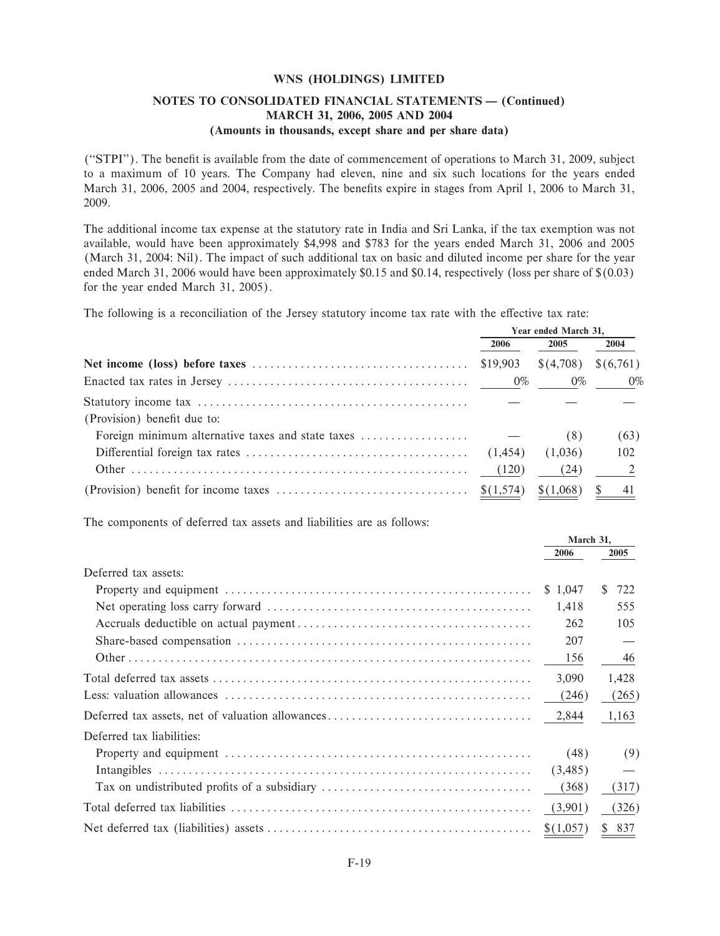### NOTES TO CONSOLIDATED FINANCIAL STATEMENTS - (Continued) MARCH 31, 2006, 2005 AND 2004 (Amounts in thousands, except share and per share data)

("STPI"). The benefit is available from the date of commencement of operations to March 31, 2009, subject to a maximum of 10 years. The Company had eleven, nine and six such locations for the years ended March 31, 2006, 2005 and 2004, respectively. The benefits expire in stages from April 1, 2006 to March 31, 2009.

The additional income tax expense at the statutory rate in India and Sri Lanka, if the tax exemption was not available, would have been approximately \$4,998 and \$783 for the years ended March 31, 2006 and 2005 (March 31, 2004; Nil). The impact of such additional tax on basic and diluted income per share for the year ended March 31, 2006 would have been approximately \$0.15 and \$0.14, respectively (loss per share of  $$(0.03)$ ) for the year ended March 31, 2005).

The following is a reconciliation of the Jersey statutory income tax rate with the effective tax rate:

|                                                                                         | Year ended March 31, |                       |          |
|-----------------------------------------------------------------------------------------|----------------------|-----------------------|----------|
|                                                                                         | 2006                 | 2005                  | 2004     |
|                                                                                         | \$19,903             | $\$(4,708) \$(6,761)$ |          |
|                                                                                         |                      |                       |          |
| (Provision) benefit due to:                                                             |                      |                       |          |
| Foreign minimum alternative taxes and state taxes $\dots\dots\dots\dots\dots\dots\dots$ |                      | (8)                   | (63)     |
|                                                                                         | (1,454)              | (1,036)               | 102      |
|                                                                                         | (120)                | (24)                  | $\sim$ 2 |
|                                                                                         |                      | \$(1,068)             | 41       |

The components of deferred tax assets and liabilities are as follows:

|                           | March 31. |           |
|---------------------------|-----------|-----------|
|                           | 2006      | 2005      |
| Deferred tax assets:      |           |           |
|                           | \$1.047   | 722<br>S. |
|                           | 1,418     | 555       |
|                           | 262       | 105       |
|                           | 207       |           |
|                           |           | 46        |
|                           | 3,090     | 1,428     |
|                           | (246)     | (265)     |
|                           | 2,844     | 1,163     |
| Deferred tax liabilities: |           |           |
|                           | (48)      | (9)       |
|                           | (3,485)   |           |
|                           | (368)     | (317)     |
|                           | (3,901)   | (326)     |
|                           | \$(1,057) | \$ 837    |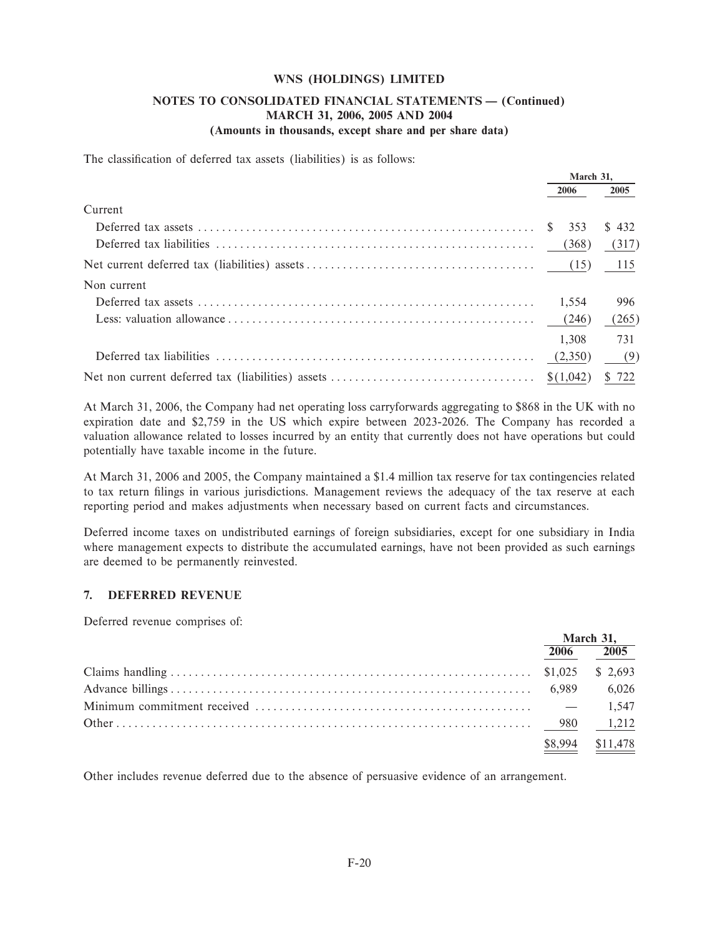### **NOTES TO CONSOLIDATED FINANCIAL STATEMENTS - (Continued) MARCH 31, 2006, 2005 AND 2004 (Amounts in thousands, except share and per share data)**

The classification of deferred tax assets (liabilities) is as follows:

|                                    | March 31, |       |
|------------------------------------|-----------|-------|
|                                    | 2006      | 2005  |
| Current                            |           |       |
|                                    |           | \$432 |
|                                    | (368)     | (317) |
|                                    |           | 115   |
| Non current                        |           |       |
|                                    | 1.554     | 996   |
|                                    |           | (265) |
|                                    | 1.308     | 731   |
| Deferred tax liabilities $(2,350)$ |           | (9)   |
|                                    |           |       |

At March 31, 2006, the Company had net operating loss carryforwards aggregating to \$868 in the UK with no expiration date and \$2,759 in the US which expire between 2023-2026. The Company has recorded a valuation allowance related to losses incurred by an entity that currently does not have operations but could potentially have taxable income in the future.

At March 31, 2006 and 2005, the Company maintained a \$1.4 million tax reserve for tax contingencies related to tax return Ñlings in various jurisdictions. Management reviews the adequacy of the tax reserve at each reporting period and makes adjustments when necessary based on current facts and circumstances.

Deferred income taxes on undistributed earnings of foreign subsidiaries, except for one subsidiary in India where management expects to distribute the accumulated earnings, have not been provided as such earnings are deemed to be permanently reinvested.

### **7. DEFERRED REVENUE**

Deferred revenue comprises of:

| March 31, |           |
|-----------|-----------|
|           | 2005      |
|           |           |
|           | 6,026     |
|           | 1,547     |
|           | 980 1,212 |
| \$8,994   | \$11,478  |

Other includes revenue deferred due to the absence of persuasive evidence of an arrangement.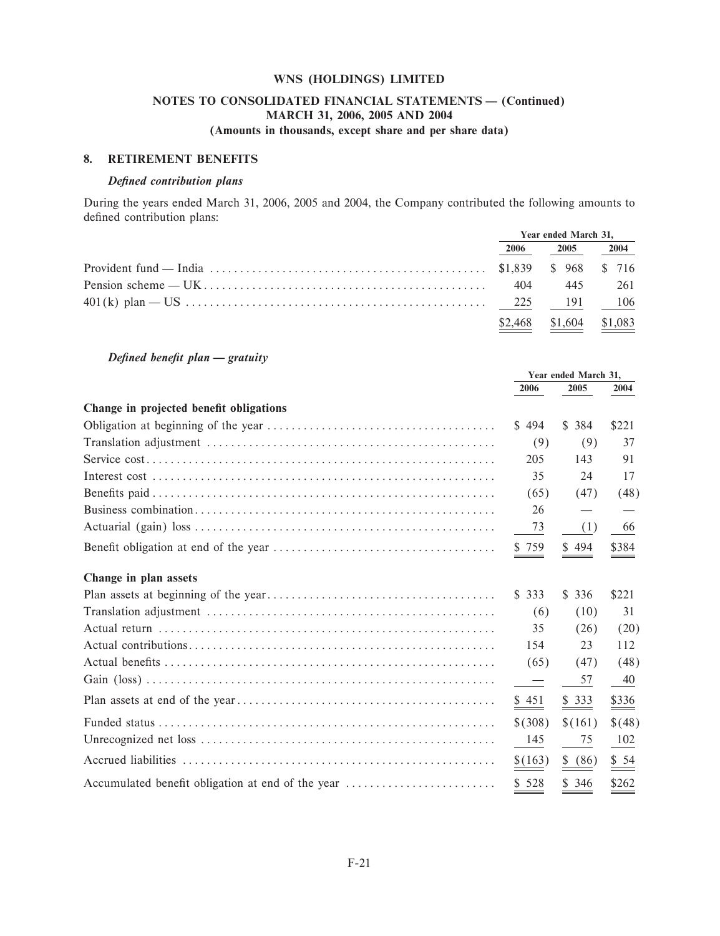### NOTES TO CONSOLIDATED FINANCIAL STATEMENTS - (Continued) MARCH 31, 2006, 2005 AND 2004 (Amounts in thousands, except share and per share data)

### 8. RETIREMENT BENEFITS

### Defined contribution plans

During the years ended March 31, 2006, 2005 and 2004, the Company contributed the following amounts to defined contribution plans:

| Year ended March 31, |                            |         |
|----------------------|----------------------------|---------|
| 2006                 | 2005                       | 2004    |
|                      |                            |         |
|                      |                            | 445 261 |
|                      |                            | 106     |
|                      | $$2,468$ $$1,604$ $$1,083$ |         |

Defined benefit plan - gratuity

|                                                   | Year ended March 31, |                  |                     |
|---------------------------------------------------|----------------------|------------------|---------------------|
|                                                   | 2006                 | 2005             | 2004                |
| Change in projected benefit obligations           |                      |                  |                     |
|                                                   | \$494                | \$384            | \$221               |
|                                                   | (9)                  | (9)              | 37                  |
|                                                   | 205                  | 143              | 91                  |
|                                                   | 35                   | 24               | 17                  |
|                                                   | (65)                 | (47)             | (48)                |
|                                                   | 26                   |                  |                     |
|                                                   | 73                   | (1)              | 66                  |
|                                                   | \$759                | \$494            | \$384               |
| Change in plan assets                             |                      |                  |                     |
|                                                   | \$333                | \$336            | \$221               |
|                                                   | (6)                  | (10)             | 31                  |
|                                                   | 35                   | (26)             | (20)                |
|                                                   | 154                  | 23               | 112                 |
|                                                   | (65)                 | (47)             | (48)                |
|                                                   |                      | 57               | 40                  |
|                                                   | \$451                | $\frac{$333}{2}$ | $\frac{$336}{2}$    |
|                                                   | \$ (308)             | \$(161)          | \$(48)              |
|                                                   | 145                  | 75               | 102                 |
|                                                   | \$ (163)             | \$ (86)          | $\underline{\$}$ 54 |
| Accumulated benefit obligation at end of the year | \$528                | \$346            | \$262               |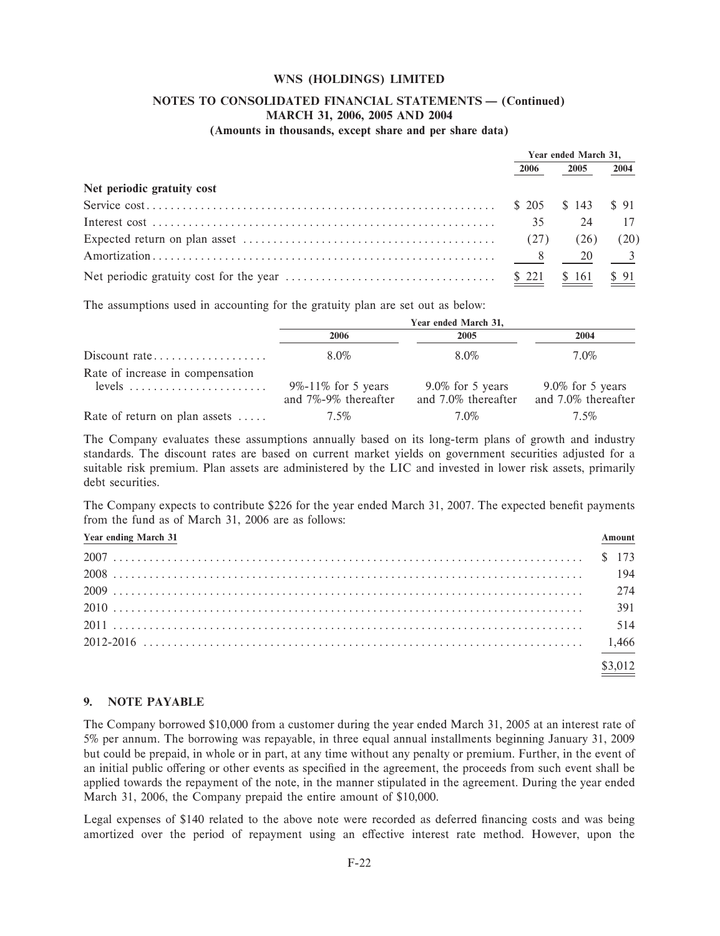# **NOTES TO CONSOLIDATED FINANCIAL STATEMENTS - (Continued) MARCH 31, 2006, 2005 AND 2004**

### **(Amounts in thousands, except share and per share data)**

|                                                                                                              | Year ended March 31. |                             |      |
|--------------------------------------------------------------------------------------------------------------|----------------------|-----------------------------|------|
|                                                                                                              | 2006                 | 2005                        | 2004 |
| Net periodic gratuity cost                                                                                   |                      |                             |      |
|                                                                                                              |                      | $$205 \quad $143 \quad $91$ |      |
|                                                                                                              | 35                   | 24                          | 17   |
| Expected return on plan asset $\dots \dots \dots \dots \dots \dots \dots \dots \dots \dots \dots \dots$ (27) |                      | (26)                        | (20) |
|                                                                                                              |                      |                             |      |
|                                                                                                              |                      | \$161                       | \$91 |

The assumptions used in accounting for the gratuity plan are set out as below:

|                                              | Year ended March 31,                             |                                            |                                            |  |
|----------------------------------------------|--------------------------------------------------|--------------------------------------------|--------------------------------------------|--|
|                                              | 2006                                             | 2005                                       | 2004                                       |  |
|                                              | 8.0%                                             | 8.0%                                       | $7.0\%$                                    |  |
| Rate of increase in compensation<br>$levels$ |                                                  |                                            |                                            |  |
|                                              | $9\% - 11\%$ for 5 years<br>and 7%-9% thereafter | $9.0\%$ for 5 years<br>and 7.0% thereafter | $9.0\%$ for 5 years<br>and 7.0% thereafter |  |
| Rate of return on plan assets $\dots$ .      | $7.5\%$                                          | 7.0%                                       | 7.5%                                       |  |

The Company evaluates these assumptions annually based on its long-term plans of growth and industry standards. The discount rates are based on current market yields on government securities adjusted for a suitable risk premium. Plan assets are administered by the LIC and invested in lower risk assets, primarily debt securities.

The Company expects to contribute \$226 for the year ended March 31, 2007. The expected benefit payments from the fund as of March 31, 2006 are as follows:

| <b>Year ending March 31</b> | Amount  |
|-----------------------------|---------|
|                             |         |
|                             |         |
|                             |         |
|                             |         |
|                             |         |
|                             |         |
|                             | \$3.012 |

### **9. NOTE PAYABLE**

The Company borrowed \$10,000 from a customer during the year ended March 31, 2005 at an interest rate of 5% per annum. The borrowing was repayable, in three equal annual installments beginning January 31, 2009 but could be prepaid, in whole or in part, at any time without any penalty or premium. Further, in the event of an initial public offering or other events as specified in the agreement, the proceeds from such event shall be applied towards the repayment of the note, in the manner stipulated in the agreement. During the year ended March 31, 2006, the Company prepaid the entire amount of \$10,000.

Legal expenses of \$140 related to the above note were recorded as deferred financing costs and was being amortized over the period of repayment using an effective interest rate method. However, upon the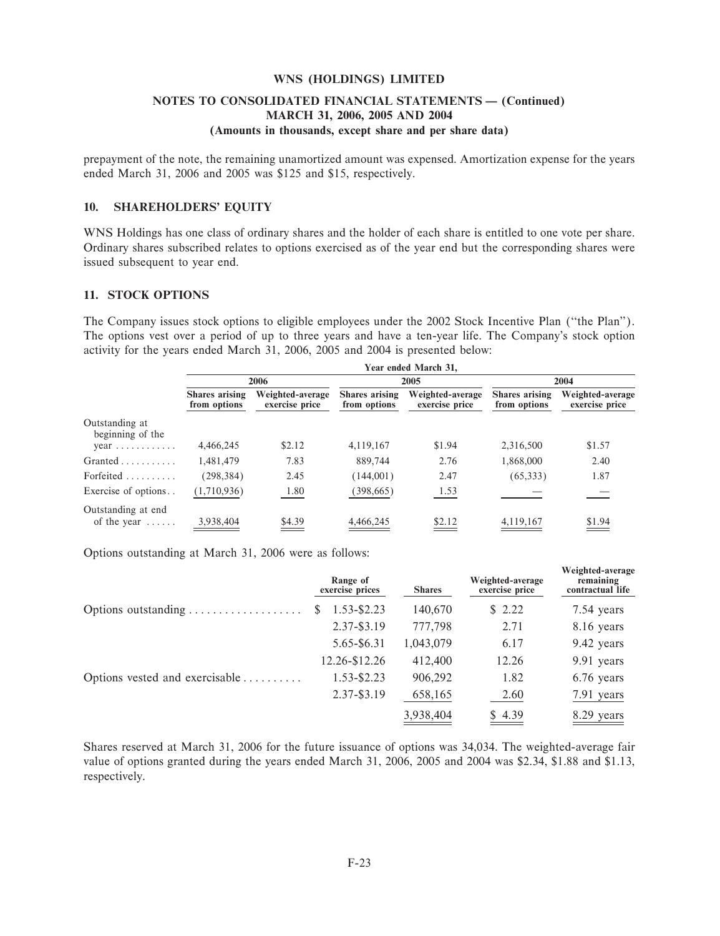### **NOTES TO CONSOLIDATED FINANCIAL STATEMENTS - (Continued) MARCH 31, 2006, 2005 AND 2004 (Amounts in thousands, except share and per share data)**

prepayment of the note, the remaining unamortized amount was expensed. Amortization expense for the years ended March 31, 2006 and 2005 was \$125 and \$15, respectively.

### **10. SHAREHOLDERS' EQUITY**

WNS Holdings has one class of ordinary shares and the holder of each share is entitled to one vote per share. Ordinary shares subscribed relates to options exercised as of the year end but the corresponding shares were issued subsequent to year end.

### **11. STOCK OPTIONS**

The Company issues stock options to eligible employees under the 2002 Stock Incentive Plan (""the Plan''). The options vest over a period of up to three years and have a ten-year life. The Company's stock option activity for the years ended March 31, 2006, 2005 and 2004 is presented below:

|                                             |                                       |                                    |                                       | Year ended March 31,               |                                       |                                    |  |
|---------------------------------------------|---------------------------------------|------------------------------------|---------------------------------------|------------------------------------|---------------------------------------|------------------------------------|--|
|                                             |                                       | 2006                               |                                       | 2005                               |                                       | 2004                               |  |
|                                             | <b>Shares</b> arising<br>from options | Weighted-average<br>exercise price | <b>Shares</b> arising<br>from options | Weighted-average<br>exercise price | <b>Shares arising</b><br>from options | Weighted-average<br>exercise price |  |
| Outstanding at<br>beginning of the          |                                       |                                    |                                       |                                    |                                       |                                    |  |
| $year \dots \dots \dots \dots$              | 4,466,245                             | \$2.12                             | 4,119,167                             | \$1.94                             | 2,316,500                             | \$1.57                             |  |
| $Grand \dots \dots \dots$                   | 1,481,479                             | 7.83                               | 889,744                               | 2.76                               | 1,868,000                             | 2.40                               |  |
| Forfeited                                   | (298, 384)                            | 2.45                               | (144,001)                             | 2.47                               | (65,333)                              | 1.87                               |  |
| Exercise of options                         | (1,710,936)                           | 1.80                               | (398, 665)                            | 1.53                               |                                       |                                    |  |
| Outstanding at end<br>of the year $\dots$ . | 3,938,404                             | \$4.39                             | 4,466,245                             | \$2.12                             | 4,119,167                             | \$1.94                             |  |

Options outstanding at March 31, 2006 were as follows:

|                                | Range of<br>exercise prices | <b>Shares</b> | Weighted-average<br>exercise price | Weighted-average<br>remaining<br>contractual life |
|--------------------------------|-----------------------------|---------------|------------------------------------|---------------------------------------------------|
| Options outstanding            | $1.53 - $2.23$<br>S         | 140,670       | \$2.22                             | 7.54 years                                        |
|                                | 2.37-\$3.19                 | 777,798       | 2.71                               | 8.16 years                                        |
|                                | 5.65-\$6.31                 | 1,043,079     | 6.17                               | 9.42 years                                        |
|                                | 12.26-\$12.26               | 412,400       | 12.26                              | 9.91 years                                        |
| Options vested and exercisable | 1.53-\$2.23                 | 906,292       | 1.82                               | 6.76 years                                        |
|                                | 2.37-\$3.19                 | 658,165       | 2.60                               | 7.91 years                                        |
|                                |                             | 3,938,404     | \$4.39                             | 8.29 years                                        |

Shares reserved at March 31, 2006 for the future issuance of options was 34,034. The weighted-average fair value of options granted during the years ended March 31, 2006, 2005 and 2004 was \$2.34, \$1.88 and \$1.13, respectively.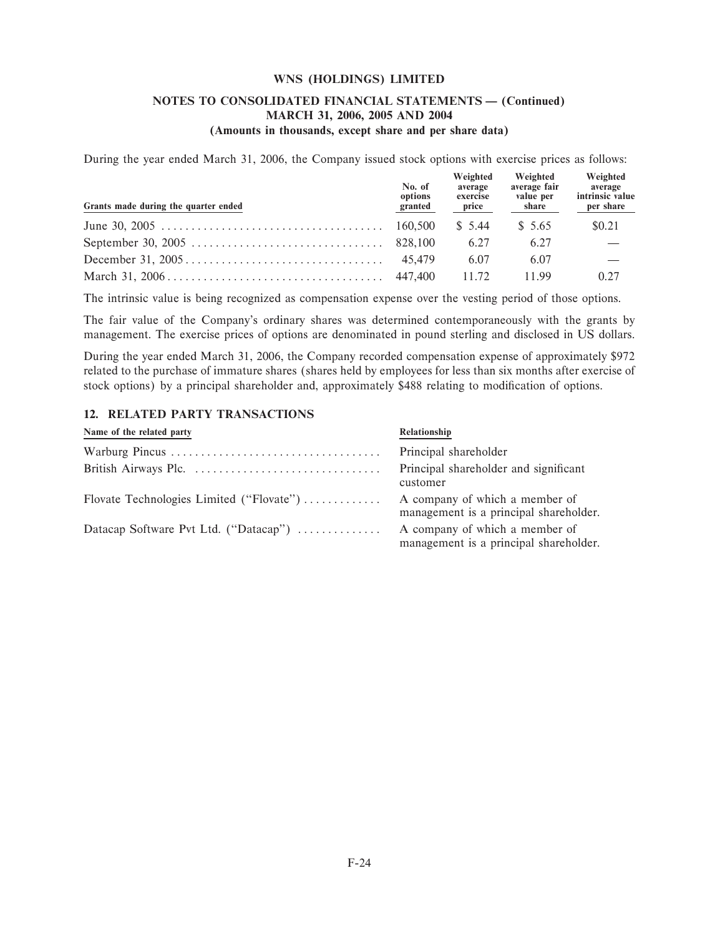### **NOTES TO CONSOLIDATED FINANCIAL STATEMENTS - (Continued) MARCH 31, 2006, 2005 AND 2004 (Amounts in thousands, except share and per share data)**

During the year ended March 31, 2006, the Company issued stock options with exercise prices as follows:

| Grants made during the quarter ended | No. of<br>options<br>granted | Weighted<br>average<br>exercise<br>price | Weighted<br>average fair<br>value per<br>share | Weighted<br>average<br>intrinsic value<br>per share |
|--------------------------------------|------------------------------|------------------------------------------|------------------------------------------------|-----------------------------------------------------|
|                                      |                              | \$ 5.44                                  | \$ 5.65                                        | \$0.21                                              |
|                                      |                              | 6.27                                     | 6.27                                           |                                                     |
|                                      |                              | 6.07                                     | 6.07                                           |                                                     |
|                                      |                              | 11.72                                    | 11.99                                          | 0.27                                                |

The intrinsic value is being recognized as compensation expense over the vesting period of those options.

The fair value of the Company's ordinary shares was determined contemporaneously with the grants by management. The exercise prices of options are denominated in pound sterling and disclosed in US dollars.

During the year ended March 31, 2006, the Company recorded compensation expense of approximately \$972 related to the purchase of immature shares (shares held by employees for less than six months after exercise of stock options) by a principal shareholder and, approximately \$488 relating to modification of options.

### **12. RELATED PARTY TRANSACTIONS**

| Name of the related party                | Relationship                                                             |
|------------------------------------------|--------------------------------------------------------------------------|
|                                          | Principal shareholder                                                    |
|                                          | Principal shareholder and significant<br>customer                        |
| Flovate Technologies Limited ("Flovate") | A company of which a member of<br>management is a principal shareholder. |
| Datacap Software Pvt Ltd. ("Datacap")    | A company of which a member of<br>management is a principal shareholder. |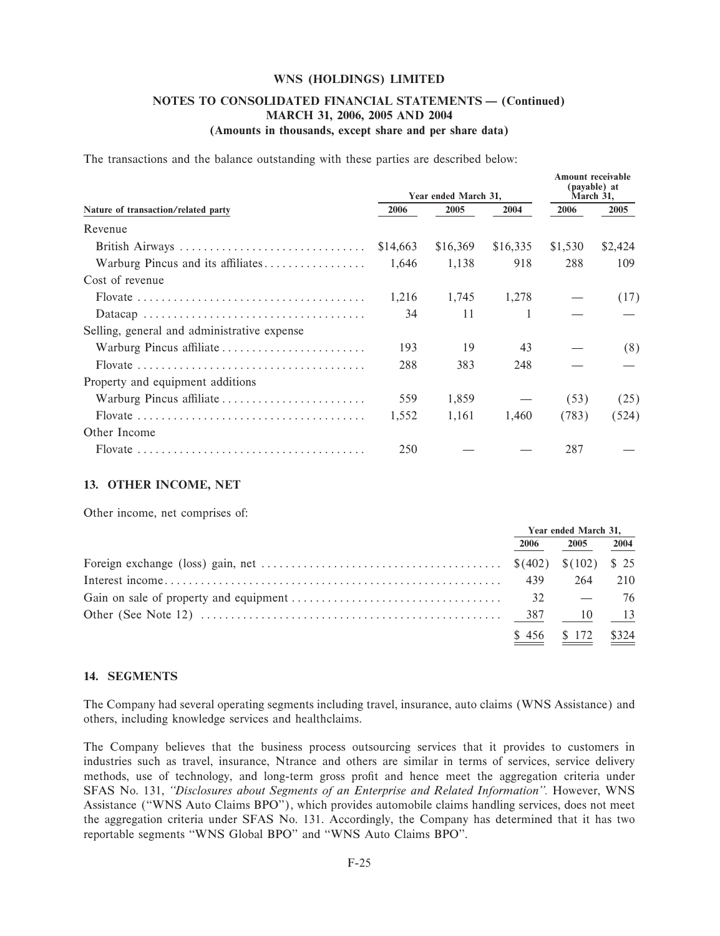### NOTES TO CONSOLIDATED FINANCIAL STATEMENTS - (Continued) MARCH 31, 2006, 2005 AND 2004 (Amounts in thousands, except share and per share data)

Amount receivable

The transactions and the balance outstanding with these parties are described below:

|                                             |          | Year ended March 31, | (payable) at<br>March 31, |         |         |
|---------------------------------------------|----------|----------------------|---------------------------|---------|---------|
| Nature of transaction/related party         | 2006     | 2005                 | 2004                      | 2006    | 2005    |
| Revenue                                     |          |                      |                           |         |         |
| British Airways                             | \$14,663 | \$16,369             | \$16,335                  | \$1,530 | \$2,424 |
| Warburg Pincus and its affiliates           | 1,646    | 1,138                | 918                       | 288     | 109     |
| Cost of revenue                             |          |                      |                           |         |         |
|                                             | 1,216    | 1,745                | 1,278                     |         | (17)    |
|                                             | 34       | 11                   |                           |         |         |
| Selling, general and administrative expense |          |                      |                           |         |         |
| Warburg Pincus affiliate                    | 193      | 19                   | 43                        |         | (8)     |
|                                             | 288      | 383                  | 248                       |         |         |
| Property and equipment additions            |          |                      |                           |         |         |
| Warburg Pincus affiliate                    | 559      | 1,859                |                           | (53)    | (25)    |
|                                             | 1,552    | 1,161                | 1,460                     | (783)   | (524)   |
| Other Income                                |          |                      |                           |         |         |
|                                             | 250      |                      |                           | 287     |         |

### 13. OTHER INCOME, NET

Other income, net comprises of:

| Year ended March 31, |                      |      |
|----------------------|----------------------|------|
| 2006                 | 2005                 | 2004 |
|                      |                      |      |
| 439                  | 264                  | 210  |
|                      |                      | 76   |
|                      |                      |      |
|                      | $$456$ $$172$ $$324$ |      |

### 14. SEGMENTS

The Company had several operating segments including travel, insurance, auto claims (WNS Assistance) and others, including knowledge services and healthclaims.

The Company believes that the business process outsourcing services that it provides to customers in industries such as travel, insurance, Ntrance and others are similar in terms of services, service delivery methods, use of technology, and long-term gross profit and hence meet the aggregation criteria under SFAS No. 131, "Disclosures about Segments of an Enterprise and Related Information". However, WNS Assistance ("WNS Auto Claims BPO"), which provides automobile claims handling services, does not meet the aggregation criteria under SFAS No. 131. Accordingly, the Company has determined that it has two reportable segments "WNS Global BPO" and "WNS Auto Claims BPO".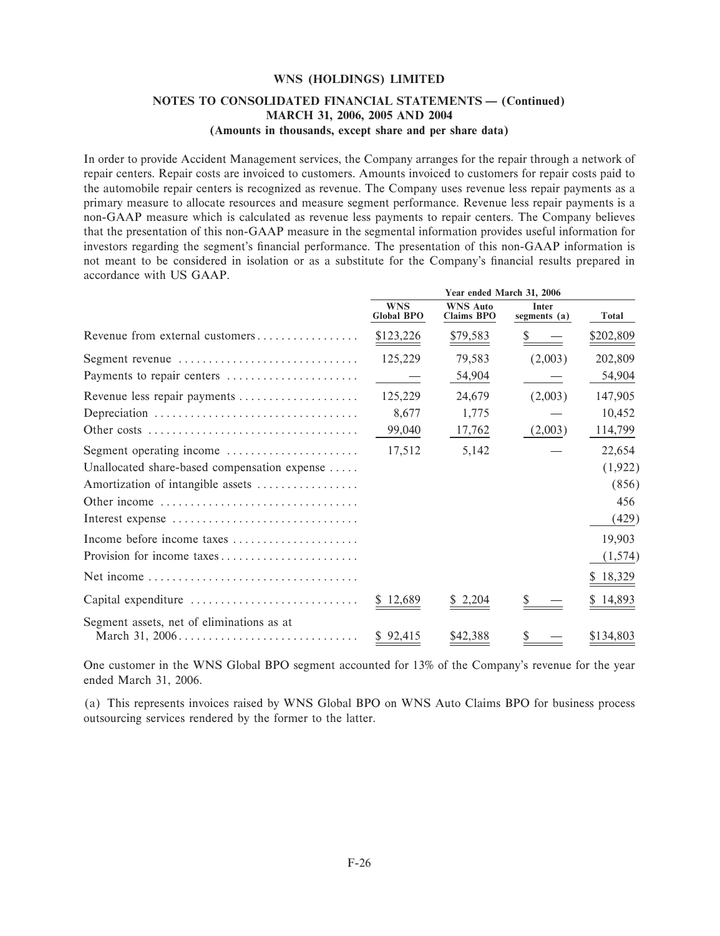### NOTES TO CONSOLIDATED FINANCIAL STATEMENTS - (Continued) MARCH 31, 2006, 2005 AND 2004 (Amounts in thousands, except share and per share data)

In order to provide Accident Management services, the Company arranges for the repair through a network of repair centers. Repair costs are invoiced to customers. Amounts invoiced to customers for repair costs paid to the automobile repair centers is recognized as revenue. The Company uses revenue less repair payments as a primary measure to allocate resources and measure segment performance. Revenue less repair payments is a non-GAAP measure which is calculated as revenue less payments to repair centers. The Company believes that the presentation of this non-GAAP measure in the segmental information provides useful information for investors regarding the segment's financial performance. The presentation of this non-GAAP information is not meant to be considered in isolation or as a substitute for the Company's financial results prepared in accordance with US GAAP.

|                                              | Year ended March 31, 2006       |                                      |                                |           |
|----------------------------------------------|---------------------------------|--------------------------------------|--------------------------------|-----------|
|                                              | <b>WNS</b><br><b>Global BPO</b> | <b>WNS Auto</b><br><b>Claims BPO</b> | <b>Inter</b><br>segments $(a)$ | Total     |
| Revenue from external customers              | \$123,226                       | \$79,583                             |                                | \$202,809 |
| Segment revenue                              | 125,229                         | 79,583                               | (2,003)                        | 202,809   |
| Payments to repair centers                   |                                 | 54,904                               |                                | 54,904    |
| Revenue less repair payments                 | 125,229                         | 24,679                               | (2,003)                        | 147,905   |
|                                              | 8,677                           | 1,775                                |                                | 10,452    |
|                                              | 99,040                          | 17,762                               | (2,003)                        | 114,799   |
| Segment operating income                     | 17,512                          | 5,142                                |                                | 22,654    |
| Unallocated share-based compensation expense |                                 |                                      |                                | (1,922)   |
| Amortization of intangible assets            |                                 |                                      |                                | (856)     |
| Other income                                 |                                 |                                      |                                | 456       |
| Interest expense                             |                                 |                                      |                                | (429)     |
| Income before income taxes                   |                                 |                                      |                                | 19,903    |
| Provision for income taxes                   |                                 |                                      |                                | (1,574)   |
|                                              |                                 |                                      |                                | \$18,329  |
| Capital expenditure                          | \$12,689                        | 2,204                                |                                | 14,893    |
| Segment assets, net of eliminations as at    |                                 |                                      |                                |           |
|                                              | \$92,415                        | \$42,388                             |                                | \$134,803 |

One customer in the WNS Global BPO segment accounted for 13% of the Company's revenue for the year ended March 31, 2006.

(a) This represents invoices raised by WNS Global BPO on WNS Auto Claims BPO for business process outsourcing services rendered by the former to the latter.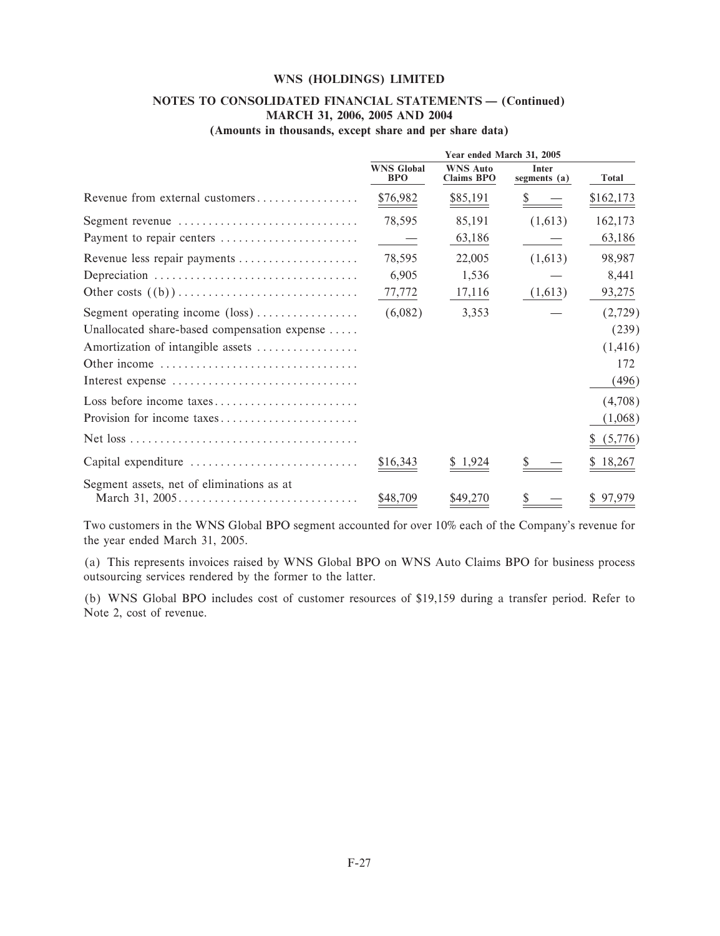#### NOTES TO CONSOLIDATED FINANCIAL STATEMENTS - (Continued) MARCH 31, 2006, 2005 AND 2004  $\frac{1}{\sqrt{1-\frac{1}{2}}}$  $\lambda$

|  |  |  | (Amounts in thousands, except share and per share data) |  |  |  |  |  |  |  |
|--|--|--|---------------------------------------------------------|--|--|--|--|--|--|--|
|--|--|--|---------------------------------------------------------|--|--|--|--|--|--|--|

|                                              | Year ended March 31, 2005       |                                      |                              |           |  |
|----------------------------------------------|---------------------------------|--------------------------------------|------------------------------|-----------|--|
|                                              | <b>WNS Global</b><br><b>BPO</b> | <b>WNS Auto</b><br><b>Claims BPO</b> | <b>Inter</b><br>segments (a) | Total     |  |
| Revenue from external customers              | \$76,982                        | \$85,191                             |                              | \$162,173 |  |
| Segment revenue                              | 78,595                          | 85,191                               | (1,613)                      | 162,173   |  |
| Payment to repair centers                    |                                 | 63,186                               |                              | 63,186    |  |
| Revenue less repair payments                 | 78,595                          | 22,005                               | (1,613)                      | 98,987    |  |
|                                              | 6,905                           | 1,536                                |                              | 8,441     |  |
|                                              | 77,772                          | 17,116                               | (1,613)                      | 93,275    |  |
| Segment operating income $(\text{loss})$     | (6,082)                         | 3,353                                |                              | (2,729)   |  |
| Unallocated share-based compensation expense |                                 |                                      |                              | (239)     |  |
| Amortization of intangible assets            |                                 |                                      |                              | (1, 416)  |  |
| Other income                                 |                                 |                                      |                              | 172       |  |
| Interest expense                             |                                 |                                      |                              | (496)     |  |
| Loss before income taxes                     |                                 |                                      |                              | (4,708)   |  |
| Provision for income taxes                   |                                 |                                      |                              | (1,068)   |  |
|                                              |                                 |                                      |                              | (5,776)   |  |
| Capital expenditure                          | \$16,343                        | \$1,924                              |                              | 18,267    |  |
| Segment assets, net of eliminations as at    | \$48,709                        | \$49,270                             |                              | \$97,979  |  |

Two customers in the WNS Global BPO segment accounted for over 10% each of the Company's revenue for the year ended March 31, 2005.

(a) This represents invoices raised by WNS Global BPO on WNS Auto Claims BPO for business process outsourcing services rendered by the former to the latter.

(b) WNS Global BPO includes cost of customer resources of \$19,159 during a transfer period. Refer to Note 2, cost of revenue.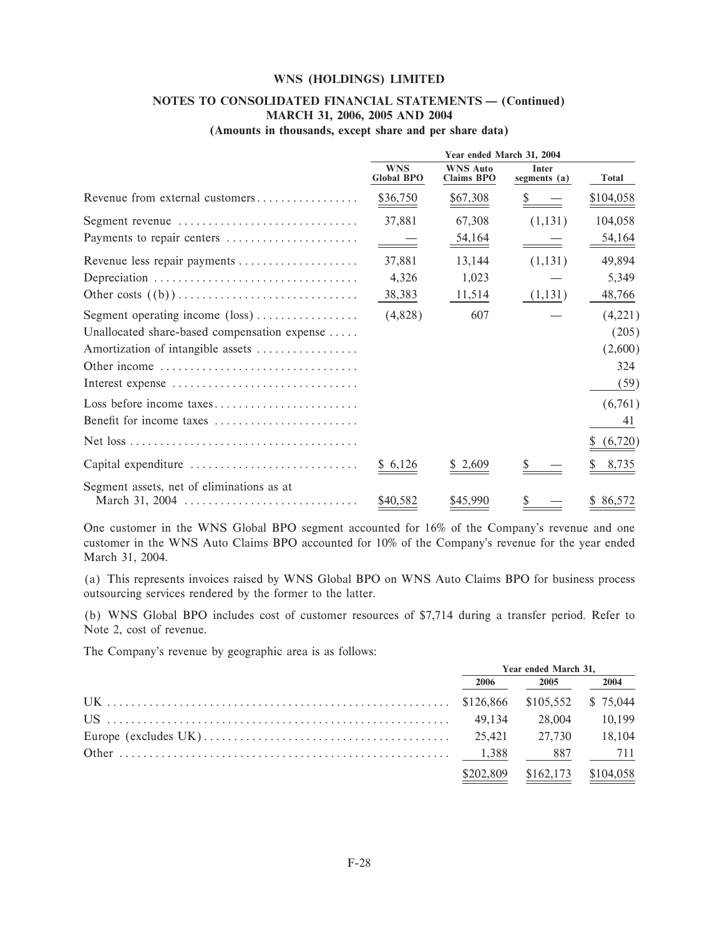#### NOTES TO CONSOLIDATED FINANCIAL STATEMENTS - (Continued) **MARCH 31, 2006, 2005 AND 2004**  $\mathbf{r}$  $\lambda$

|  |  |  | (Amounts in thousands, except share and per share data) |  |  |  |  |  |  |  |
|--|--|--|---------------------------------------------------------|--|--|--|--|--|--|--|
|--|--|--|---------------------------------------------------------|--|--|--|--|--|--|--|

|                                                             | Year ended March 31, 2004       |                                      |                              |               |
|-------------------------------------------------------------|---------------------------------|--------------------------------------|------------------------------|---------------|
|                                                             | <b>WNS</b><br><b>Global BPO</b> | <b>WNS Auto</b><br><b>Claims BPO</b> | <b>Inter</b><br>segments (a) | <b>Total</b>  |
| Revenue from external customers                             | \$36,750                        | \$67,308                             |                              | \$104,058     |
| Segment revenue                                             | 37,881                          | 67,308                               | (1,131)                      | 104,058       |
| Payments to repair centers                                  |                                 | $\frac{54,164}{ }$                   |                              | <u>54,164</u> |
| Revenue less repair payments                                | 37,881                          | 13,144                               | (1,131)                      | 49,894        |
|                                                             | 4,326                           | 1,023                                |                              | 5,349         |
|                                                             | 38,383                          | 11,514                               | (1,131)                      | 48,766        |
| Segment operating income $(\text{loss})$                    | (4,828)                         | 607                                  |                              | (4,221)       |
| Unallocated share-based compensation expense                |                                 |                                      |                              | (205)         |
| Amortization of intangible assets                           |                                 |                                      |                              | (2,600)       |
| Other income                                                |                                 |                                      |                              | 324           |
| Interest expense                                            |                                 |                                      |                              | (59)          |
| Loss before income taxes                                    |                                 |                                      |                              | (6,761)       |
| Benefit for income taxes                                    |                                 |                                      |                              | 41            |
|                                                             |                                 |                                      |                              | (6,720)       |
| Capital expenditure                                         | \$6,126                         | 2,609                                |                              | 8,735         |
| Segment assets, net of eliminations as at<br>March 31, 2004 | \$40,582                        | \$45,990                             |                              | 86,572        |

One customer in the WNS Global BPO segment accounted for 16% of the Company's revenue and one customer in the WNS Auto Claims BPO accounted for 10% of the Company's revenue for the year ended March 31, 2004.

(a) This represents invoices raised by WNS Global BPO on WNS Auto Claims BPO for business process outsourcing services rendered by the former to the latter.

(b) WNS Global BPO includes cost of customer resources of \$7,714 during a transfer period. Refer to Note 2, cost of revenue.

The Company's revenue by geographic area is as follows:

| Year ended March 31, |                       |      |  |
|----------------------|-----------------------|------|--|
| 2006                 | 2005                  | 2004 |  |
|                      |                       |      |  |
|                      | 28,004 10.199         |      |  |
|                      |                       |      |  |
|                      | 887                   | 711  |  |
| \$202,809            | $$162,173$ $$104,058$ |      |  |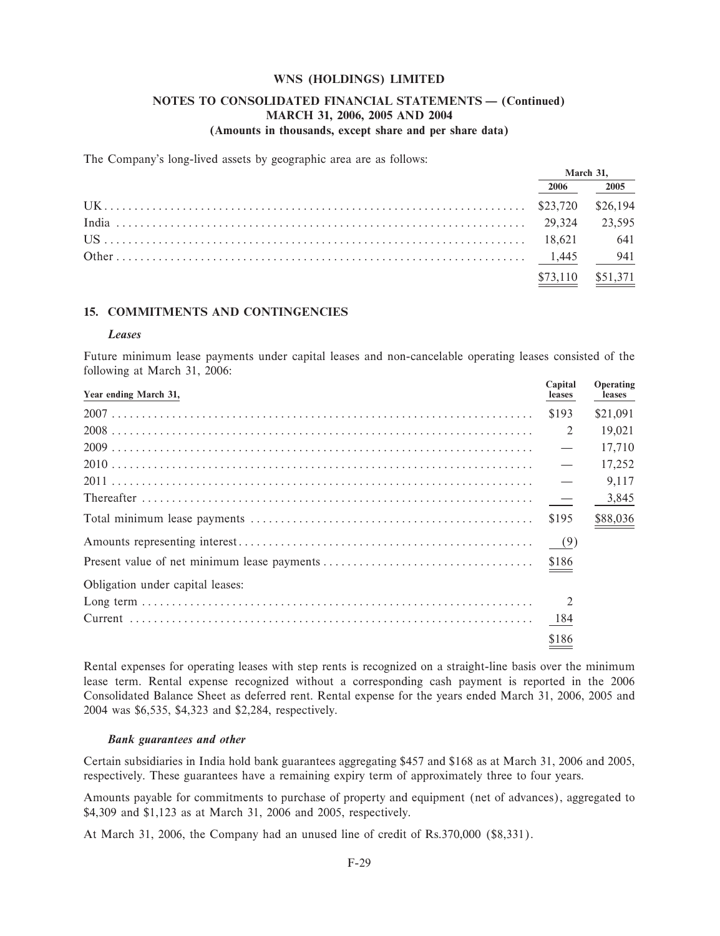### NOTES TO CONSOLIDATED FINANCIAL STATEMENTS - (Continued) MARCH 31, 2006, 2005 AND 2004 (Amounts in thousands, except share and per share data)

The Company's long-lived assets by geographic area are as follows:

| March 31. |          |
|-----------|----------|
| 2006      | 2005     |
|           | \$26,194 |
|           | 23.595   |
|           | 641      |
|           | 941      |
| \$73,110  | \$51,371 |

### **15. COMMITMENTS AND CONTINGENCIES**

#### Leases

Future minimum lease payments under capital leases and non-cancelable operating leases consisted of the following at March 31, 2006:

| Year ending March 31,            | Capital<br>leases        | Operating<br>leases |
|----------------------------------|--------------------------|---------------------|
|                                  | \$193                    | \$21,091            |
|                                  | 2                        | 19,021              |
|                                  |                          | 17,710              |
|                                  | $\overline{\phantom{0}}$ | 17,252              |
|                                  |                          | 9,117               |
|                                  |                          | $-3,845$            |
|                                  | \$195                    | \$88,036            |
|                                  | (9)                      |                     |
|                                  |                          |                     |
| Obligation under capital leases: |                          |                     |
|                                  | $\overline{2}$           |                     |
|                                  |                          |                     |
|                                  | \$186                    |                     |

Rental expenses for operating leases with step rents is recognized on a straight-line basis over the minimum lease term. Rental expense recognized without a corresponding cash payment is reported in the 2006 Consolidated Balance Sheet as deferred rent. Rental expense for the years ended March 31, 2006, 2005 and 2004 was \$6,535, \$4,323 and \$2,284, respectively.

#### **Bank** guarantees and other

Certain subsidiaries in India hold bank guarantees aggregating \$457 and \$168 as at March 31, 2006 and 2005, respectively. These guarantees have a remaining expiry term of approximately three to four years.

Amounts payable for commitments to purchase of property and equipment (net of advances), aggregated to \$4,309 and \$1,123 as at March 31, 2006 and 2005, respectively.

At March 31, 2006, the Company had an unused line of credit of Rs.370,000 (\$8,331).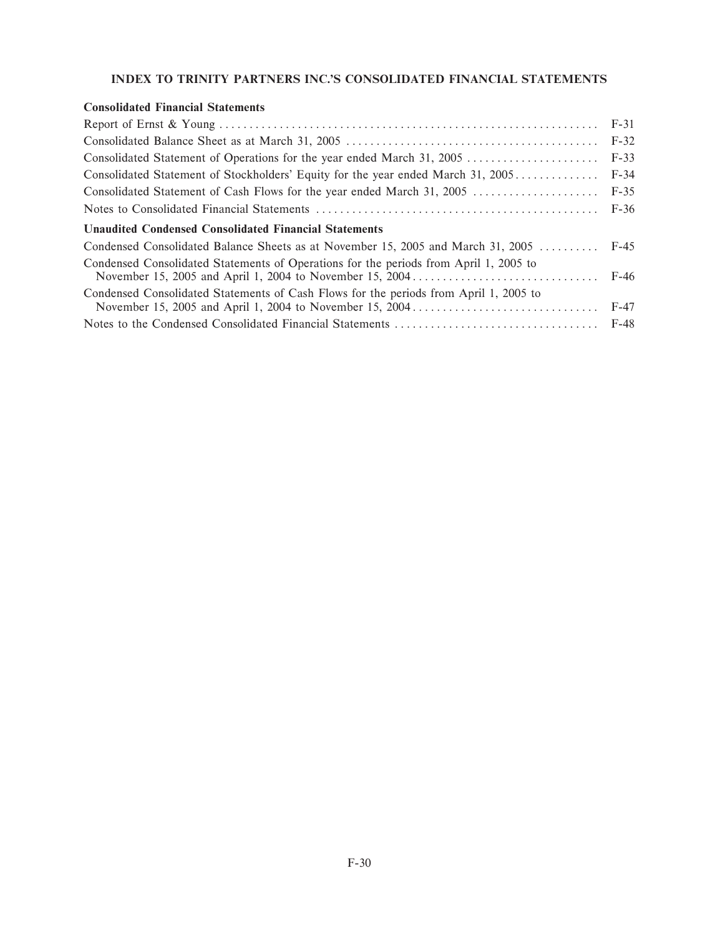## **INDEX TO TRINITY PARTNERS INC.'S CONSOLIDATED FINANCIAL STATEMENTS**

### **Consolidated Financial Statements**

| Consolidated Statement of Operations for the year ended March 31, 2005                | $F-33$ |
|---------------------------------------------------------------------------------------|--------|
| Consolidated Statement of Stockholders' Equity for the year ended March 31, 2005      | $F-34$ |
| Consolidated Statement of Cash Flows for the year ended March 31, 2005  F-35          |        |
|                                                                                       |        |
| Unaudited Condensed Consolidated Financial Statements                                 |        |
| Condensed Consolidated Balance Sheets as at November 15, 2005 and March 31, 2005      | F-45   |
| Condensed Consolidated Statements of Operations for the periods from April 1, 2005 to |        |
| Condensed Consolidated Statements of Cash Flows for the periods from April 1, 2005 to |        |
|                                                                                       |        |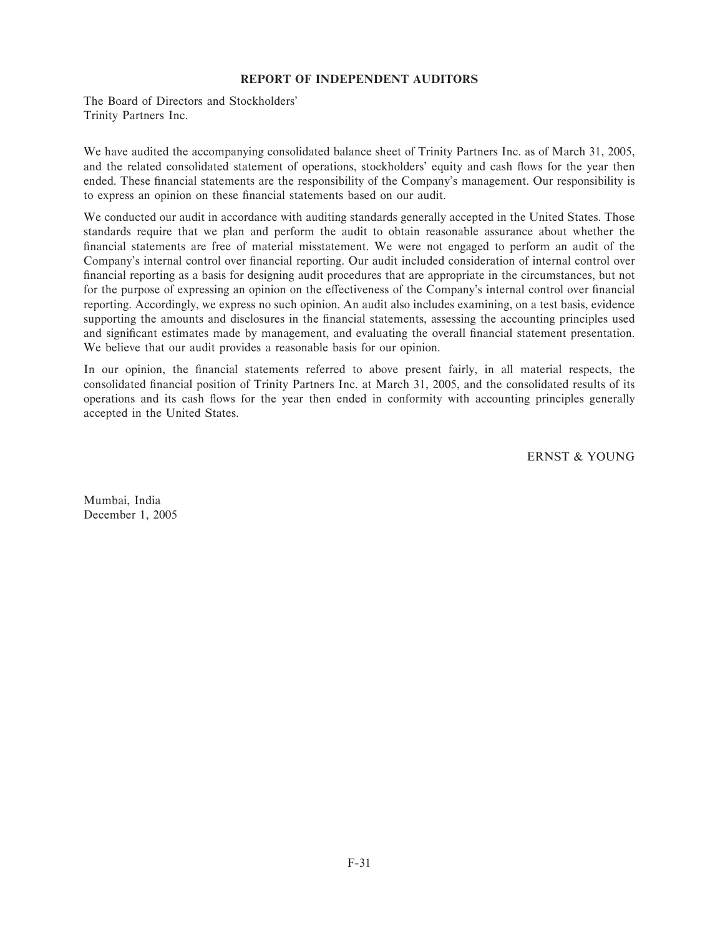### **REPORT OF INDEPENDENT AUDITORS**

The Board of Directors and Stockholders' Trinity Partners Inc.

We have audited the accompanying consolidated balance sheet of Trinity Partners Inc. as of March 31, 2005, and the related consolidated statement of operations, stockholders' equity and cash flows for the year then ended. These financial statements are the responsibility of the Company's management. Our responsibility is to express an opinion on these financial statements based on our audit.

We conducted our audit in accordance with auditing standards generally accepted in the United States. Those standards require that we plan and perform the audit to obtain reasonable assurance about whether the financial statements are free of material misstatement. We were not engaged to perform an audit of the Company's internal control over financial reporting. Our audit included consideration of internal control over financial reporting as a basis for designing audit procedures that are appropriate in the circumstances, but not for the purpose of expressing an opinion on the effectiveness of the Company's internal control over financial reporting. Accordingly, we express no such opinion. An audit also includes examining, on a test basis, evidence supporting the amounts and disclosures in the financial statements, assessing the accounting principles used and significant estimates made by management, and evaluating the overall financial statement presentation. We believe that our audit provides a reasonable basis for our opinion.

In our opinion, the financial statements referred to above present fairly, in all material respects, the consolidated financial position of Trinity Partners Inc. at March 31, 2005, and the consolidated results of its operations and its cash Öows for the year then ended in conformity with accounting principles generally accepted in the United States.

ERNST & YOUNG

Mumbai, India December 1, 2005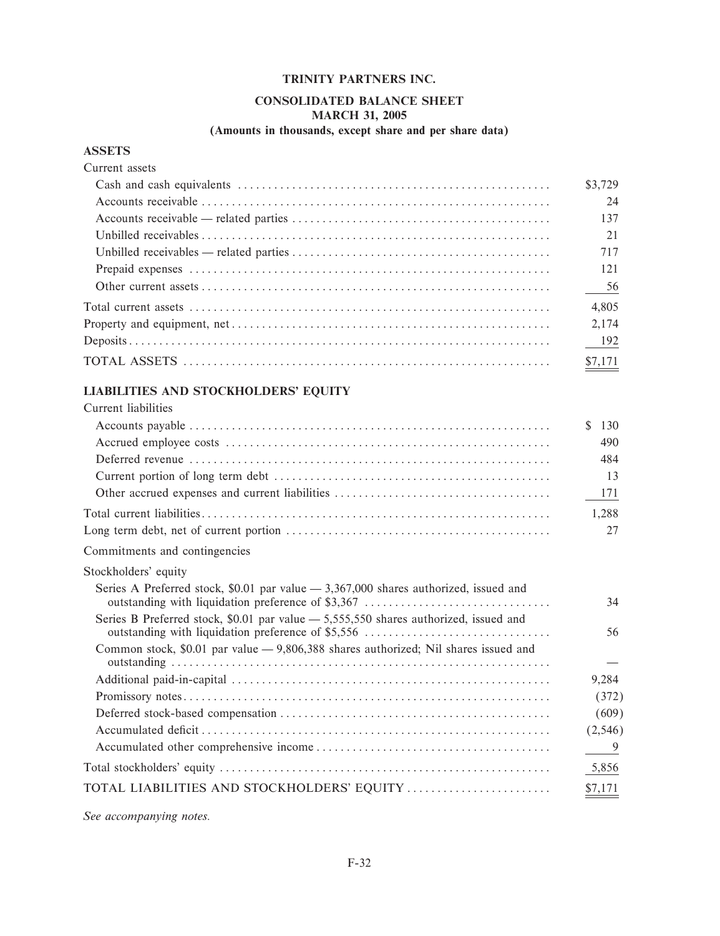## **CONSOLIDATED BALANCE SHEET MARCH 31, 2005**

## (Amounts in thousands, except share and per share data)

### **ASSETS**

| Current assets                                                                                                               |                   |
|------------------------------------------------------------------------------------------------------------------------------|-------------------|
|                                                                                                                              | \$3.729           |
|                                                                                                                              | 24                |
|                                                                                                                              | 137               |
|                                                                                                                              | 21                |
| Unbilled receivables — related parties $\dots \dots \dots \dots \dots \dots \dots \dots \dots \dots \dots \dots \dots \dots$ | 717               |
|                                                                                                                              | 121               |
|                                                                                                                              | $-$ <sup>56</sup> |
|                                                                                                                              | 4,805             |
|                                                                                                                              | 2.174             |
|                                                                                                                              | 192               |
|                                                                                                                              | \$7,171           |

# LIABILITIES AND STOCKHOLDERS' EQUITY

| Current liabilities                                                                                                                         |                      |
|---------------------------------------------------------------------------------------------------------------------------------------------|----------------------|
|                                                                                                                                             | <sup>\$</sup><br>130 |
|                                                                                                                                             | 490                  |
|                                                                                                                                             | 484                  |
|                                                                                                                                             | 13                   |
|                                                                                                                                             | 171                  |
|                                                                                                                                             | 1,288                |
|                                                                                                                                             | 27                   |
| Commitments and contingencies                                                                                                               |                      |
| Stockholders' equity                                                                                                                        |                      |
| Series A Preferred stock, \$0.01 par value $-3,367,000$ shares authorized, issued and<br>outstanding with liquidation preference of \$3,367 | 34                   |
| Series B Preferred stock, \$0.01 par value — 5,555,550 shares authorized, issued and                                                        | 56                   |
| Common stock, \$0.01 par value - 9,806,388 shares authorized; Nil shares issued and                                                         |                      |
|                                                                                                                                             | 9,284                |
|                                                                                                                                             | (372)                |
|                                                                                                                                             | (609)                |
|                                                                                                                                             | (2, 546)             |
|                                                                                                                                             | -9                   |
|                                                                                                                                             | 5,856                |
| TOTAL LIABILITIES AND STOCKHOLDERS' EQUITY                                                                                                  | \$7,171              |
|                                                                                                                                             |                      |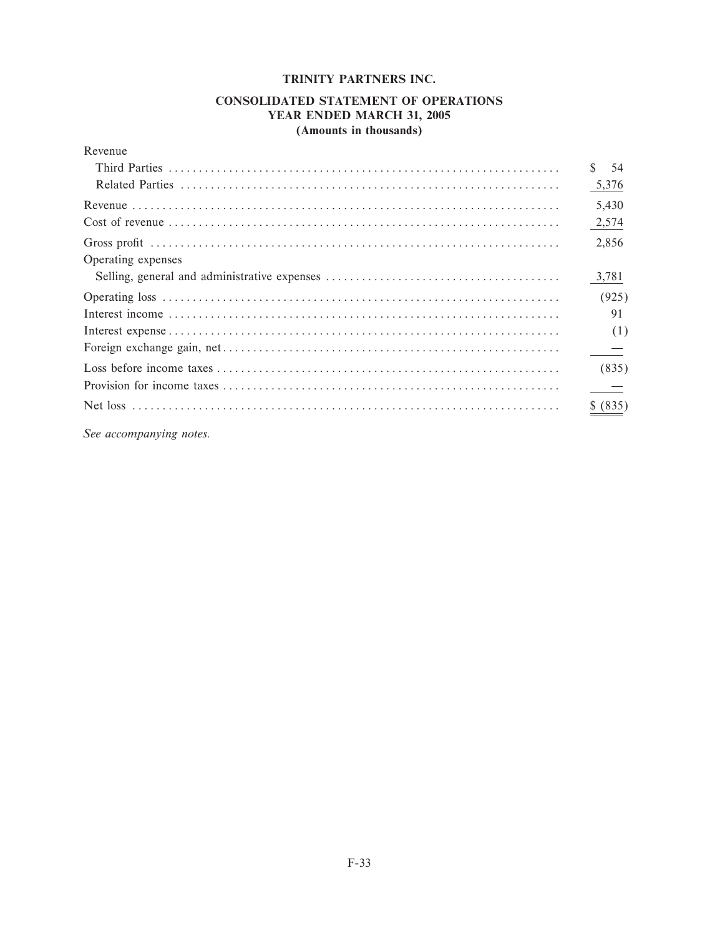### **CONSOLIDATED STATEMENT OF OPERATIONS** YEAR ENDED MARCH 31, 2005 (Amounts in thousands)

| Revenue            |                      |
|--------------------|----------------------|
|                    | <sup>\$</sup><br>-54 |
|                    | 5,376                |
|                    | 5,430                |
|                    | 2,574                |
|                    | 2,856                |
| Operating expenses | 3,781                |
|                    | (925)                |
|                    | 91                   |
|                    | (1)                  |
|                    |                      |
|                    | (835)                |
|                    |                      |
|                    | (835)                |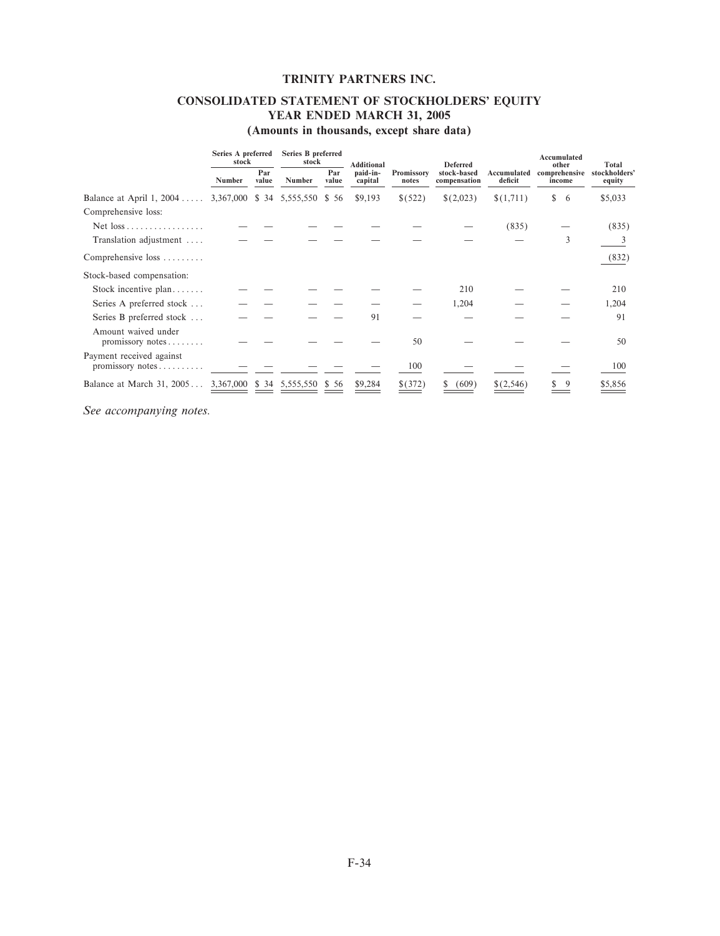## **CONSOLIDATED STATEMENT OF STOCKHOLDERS' EQUITY YEAR ENDED MARCH 31, 2005**

**(Amounts in thousands, except share data)**

|                                                              | Series A preferred<br>stock | Series B preferred<br>stock |                           |              | <b>Additional</b>   |                     | <b>Deferred</b>             |                        | Accumulated<br>other    | Total                   |
|--------------------------------------------------------------|-----------------------------|-----------------------------|---------------------------|--------------|---------------------|---------------------|-----------------------------|------------------------|-------------------------|-------------------------|
|                                                              | Number                      | Par<br>value                | Number                    | Par<br>value | paid-in-<br>capital | Promissory<br>notes | stock-based<br>compensation | Accumulated<br>deficit | comprehensive<br>income | stockholders'<br>equity |
| Balance at April 1, 2004 3,367,000 \$ 34                     |                             |                             | 5,555,550                 | \$56         | \$9,193             | \$(522)             | \$(2,023)                   | \$(1,711)              | \$<br>6                 | \$5,033                 |
| Comprehensive loss:                                          |                             |                             |                           |              |                     |                     |                             |                        |                         |                         |
|                                                              |                             |                             |                           |              |                     |                     |                             | (835)                  |                         | (835)                   |
| Translation adjustment                                       |                             |                             |                           |              |                     |                     |                             |                        | 3                       |                         |
| Comprehensive loss                                           |                             |                             |                           |              |                     |                     |                             |                        |                         | (832)                   |
| Stock-based compensation:                                    |                             |                             |                           |              |                     |                     |                             |                        |                         |                         |
| Stock incentive $plan$                                       |                             |                             |                           |              |                     |                     | 210                         |                        |                         | 210                     |
| Series A preferred stock                                     |                             |                             |                           |              |                     |                     | 1,204                       |                        |                         | 1,204                   |
| Series B preferred stock                                     |                             |                             |                           |              | 91                  |                     |                             |                        |                         | 91                      |
| Amount waived under<br>promissory notes                      |                             |                             |                           |              |                     | 50                  |                             |                        |                         | 50                      |
| Payment received against<br>$promissory notes \ldots \ldots$ |                             |                             |                           |              |                     | 100                 |                             |                        |                         | 100                     |
| Balance at March 31, 2005                                    |                             |                             | 3,367,000 \$ 34 5,555,550 | \$56         | \$9,284             | \$(372)             | (609)                       | \$(2,546)              |                         | \$5,856                 |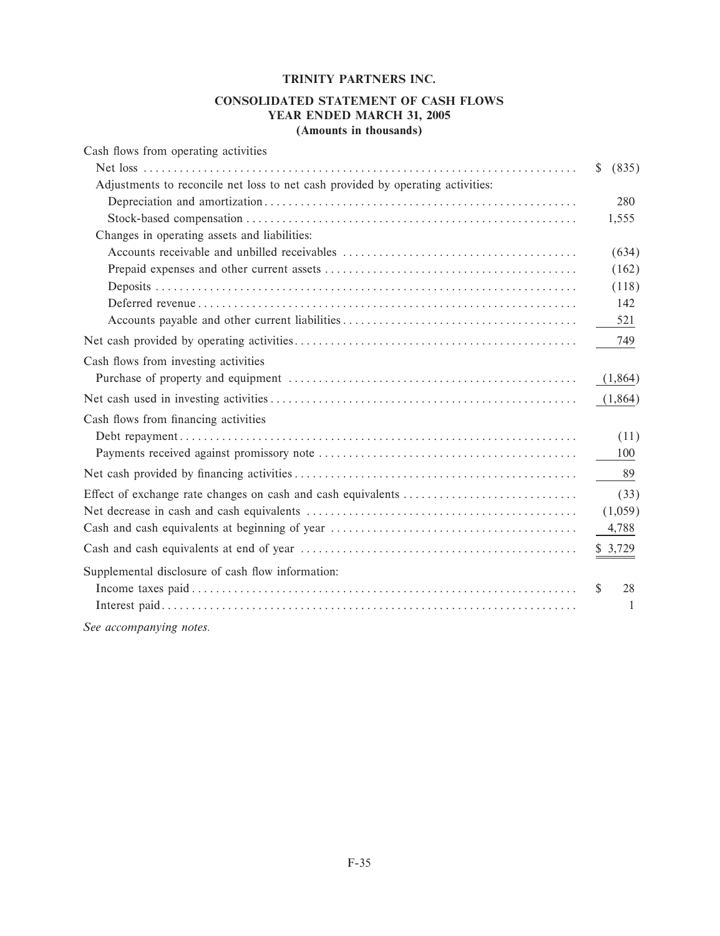### **CONSOLIDATED STATEMENT OF CASH FLOWS YEAR ENDED MARCH 31, 2005 (Amounts in thousands)**

| Cash flows from operating activities                                            |                     |
|---------------------------------------------------------------------------------|---------------------|
|                                                                                 | (835)<br>\$         |
| Adjustments to reconcile net loss to net cash provided by operating activities: |                     |
|                                                                                 | 280                 |
|                                                                                 | 1,555               |
| Changes in operating assets and liabilities:                                    |                     |
|                                                                                 | (634)               |
|                                                                                 | (162)               |
|                                                                                 | (118)               |
|                                                                                 | 142                 |
|                                                                                 | 521                 |
|                                                                                 | 749                 |
| Cash flows from investing activities                                            |                     |
|                                                                                 | (1,864)             |
|                                                                                 | (1,864)             |
| Cash flows from financing activities                                            |                     |
|                                                                                 | (11)                |
|                                                                                 | 100                 |
|                                                                                 | -89                 |
|                                                                                 | (33)                |
|                                                                                 | (1,059)             |
|                                                                                 | 4,788               |
|                                                                                 | \$3,729             |
| Supplemental disclosure of cash flow information:                               |                     |
|                                                                                 | 28<br><sup>\$</sup> |
|                                                                                 | 1                   |
|                                                                                 |                     |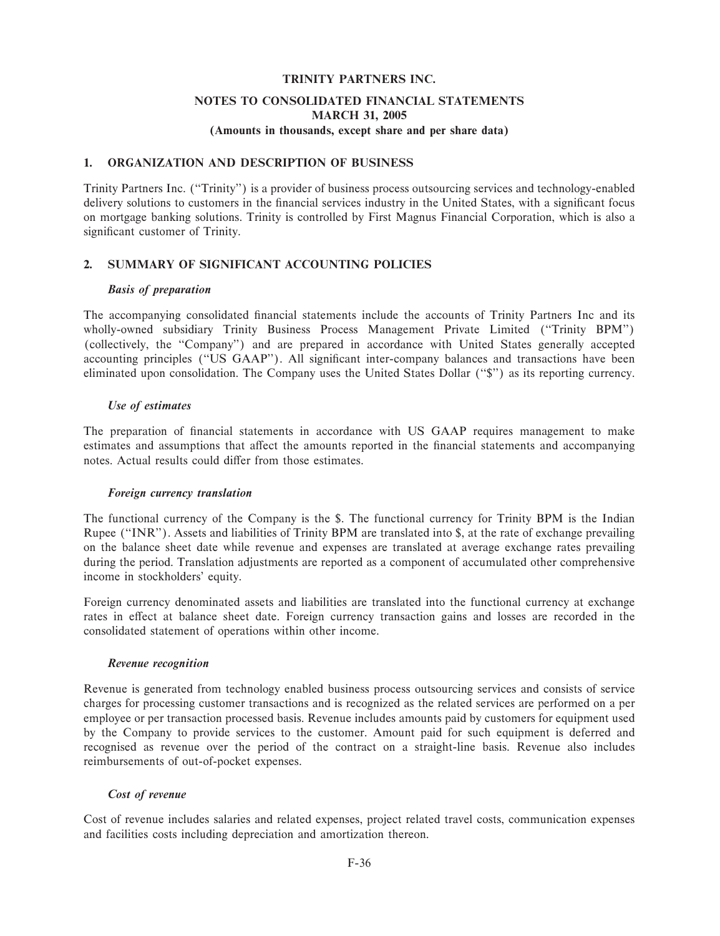## **NOTES TO CONSOLIDATED FINANCIAL STATEMENTS MARCH 31, 2005**

### **(Amounts in thousands, except share and per share data)**

### **1. ORGANIZATION AND DESCRIPTION OF BUSINESS**

Trinity Partners Inc. (""Trinity'') is a provider of business process outsourcing services and technology-enabled delivery solutions to customers in the financial services industry in the United States, with a significant focus on mortgage banking solutions. Trinity is controlled by First Magnus Financial Corporation, which is also a significant customer of Trinity.

### **2. SUMMARY OF SIGNIFICANT ACCOUNTING POLICIES**

#### *Basis of preparation*

The accompanying consolidated financial statements include the accounts of Trinity Partners Inc and its wholly-owned subsidiary Trinity Business Process Management Private Limited ("Trinity BPM") (collectively, the "Company") and are prepared in accordance with United States generally accepted accounting principles ("US GAAP"). All significant inter-company balances and transactions have been eliminated upon consolidation. The Company uses the United States Dollar (""\$'') as its reporting currency.

### *Use of estimates*

The preparation of financial statements in accordance with US GAAP requires management to make estimates and assumptions that affect the amounts reported in the financial statements and accompanying notes. Actual results could differ from those estimates.

#### *Foreign currency translation*

The functional currency of the Company is the \$. The functional currency for Trinity BPM is the Indian Rupee (""INR''). Assets and liabilities of Trinity BPM are translated into \$, at the rate of exchange prevailing on the balance sheet date while revenue and expenses are translated at average exchange rates prevailing during the period. Translation adjustments are reported as a component of accumulated other comprehensive income in stockholders' equity.

Foreign currency denominated assets and liabilities are translated into the functional currency at exchange rates in effect at balance sheet date. Foreign currency transaction gains and losses are recorded in the consolidated statement of operations within other income.

#### *Revenue recognition*

Revenue is generated from technology enabled business process outsourcing services and consists of service charges for processing customer transactions and is recognized as the related services are performed on a per employee or per transaction processed basis. Revenue includes amounts paid by customers for equipment used by the Company to provide services to the customer. Amount paid for such equipment is deferred and recognised as revenue over the period of the contract on a straight-line basis. Revenue also includes reimbursements of out-of-pocket expenses.

### *Cost of revenue*

Cost of revenue includes salaries and related expenses, project related travel costs, communication expenses and facilities costs including depreciation and amortization thereon.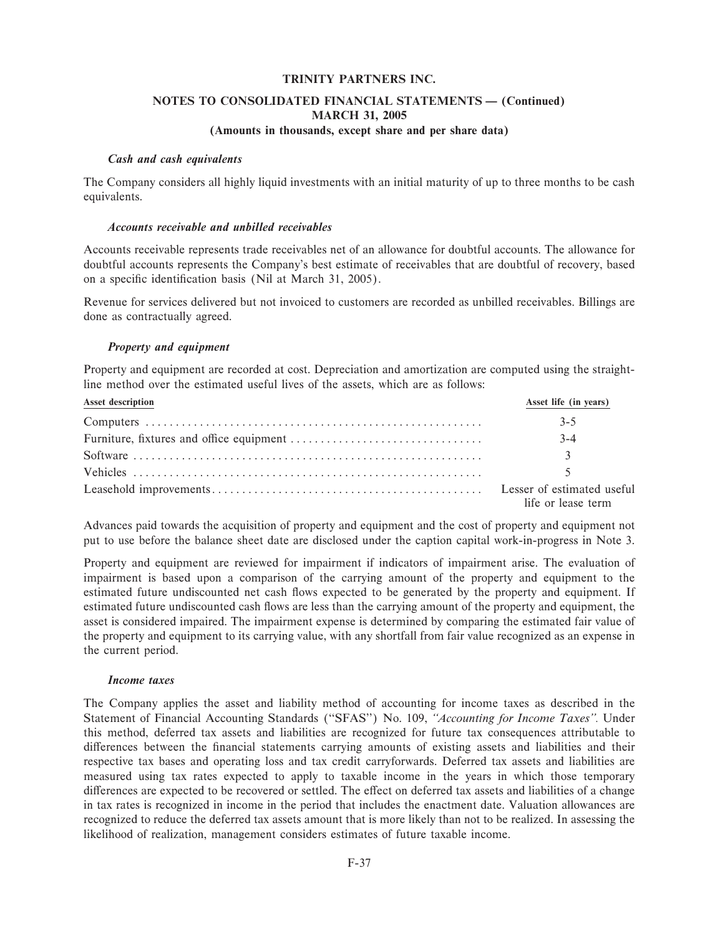### **NOTES TO CONSOLIDATED FINANCIAL STATEMENTS - (Continued) MARCH 31, 2005 (Amounts in thousands, except share and per share data)**

#### *Cash and cash equivalents*

The Company considers all highly liquid investments with an initial maturity of up to three months to be cash equivalents.

#### *Accounts receivable and unbilled receivables*

Accounts receivable represents trade receivables net of an allowance for doubtful accounts. The allowance for doubtful accounts represents the Company's best estimate of receivables that are doubtful of recovery, based on a specific identification basis (Nil at March 31, 2005).

Revenue for services delivered but not invoiced to customers are recorded as unbilled receivables. Billings are done as contractually agreed.

### *Property and equipment*

Property and equipment are recorded at cost. Depreciation and amortization are computed using the straightline method over the estimated useful lives of the assets, which are as follows:

| Asset description | Asset life (in years) |
|-------------------|-----------------------|
|                   | $3-5$                 |
|                   | $3 - 4$               |
|                   | $\mathcal{R}$         |
|                   |                       |
|                   | life or lease term    |

Advances paid towards the acquisition of property and equipment and the cost of property and equipment not put to use before the balance sheet date are disclosed under the caption capital work-in-progress in Note 3.

Property and equipment are reviewed for impairment if indicators of impairment arise. The evaluation of impairment is based upon a comparison of the carrying amount of the property and equipment to the estimated future undiscounted net cash flows expected to be generated by the property and equipment. If estimated future undiscounted cash Öows are less than the carrying amount of the property and equipment, the asset is considered impaired. The impairment expense is determined by comparing the estimated fair value of the property and equipment to its carrying value, with any shortfall from fair value recognized as an expense in the current period.

#### *Income taxes*

The Company applies the asset and liability method of accounting for income taxes as described in the Statement of Financial Accounting Standards ("SFAS") No. 109, "Accounting for Income Taxes". Under this method, deferred tax assets and liabilities are recognized for future tax consequences attributable to differences between the financial statements carrying amounts of existing assets and liabilities and their respective tax bases and operating loss and tax credit carryforwards. Deferred tax assets and liabilities are measured using tax rates expected to apply to taxable income in the years in which those temporary differences are expected to be recovered or settled. The effect on deferred tax assets and liabilities of a change in tax rates is recognized in income in the period that includes the enactment date. Valuation allowances are recognized to reduce the deferred tax assets amount that is more likely than not to be realized. In assessing the likelihood of realization, management considers estimates of future taxable income.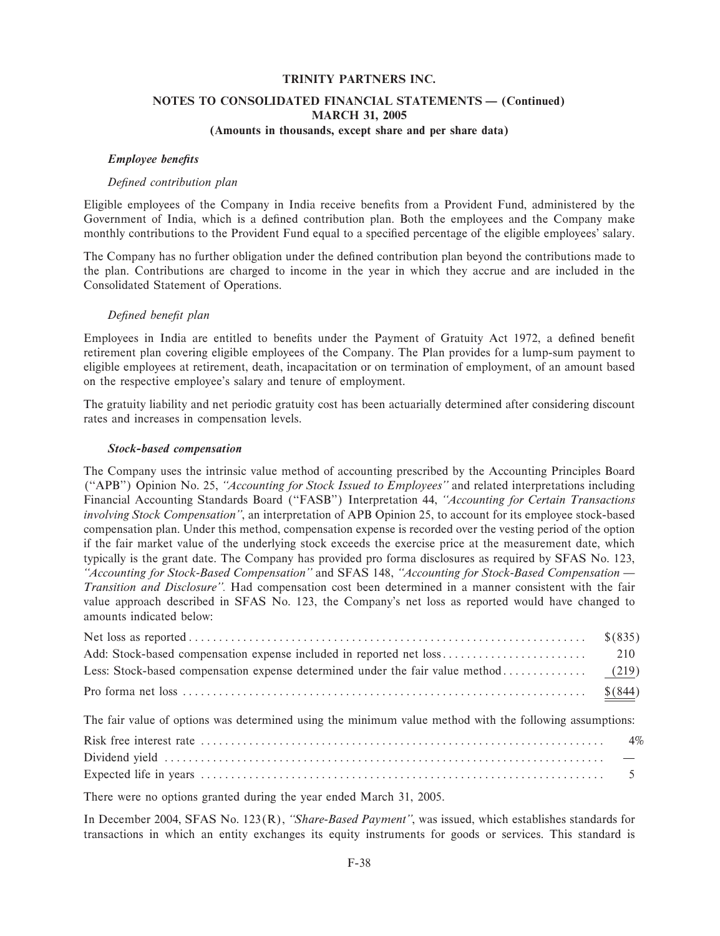### **NOTES TO CONSOLIDATED FINANCIAL STATEMENTS - (Continued) MARCH 31, 2005 (Amounts in thousands, except share and per share data)**

#### *Employee benefits*

#### *DeÑned contribution plan*

Eligible employees of the Company in India receive benefits from a Provident Fund, administered by the Government of India, which is a defined contribution plan. Both the employees and the Company make monthly contributions to the Provident Fund equal to a specified percentage of the eligible employees' salary.

The Company has no further obligation under the defined contribution plan beyond the contributions made to the plan. Contributions are charged to income in the year in which they accrue and are included in the Consolidated Statement of Operations.

#### *DeÑned beneÑt plan*

Employees in India are entitled to benefits under the Payment of Gratuity Act 1972, a defined benefit retirement plan covering eligible employees of the Company. The Plan provides for a lump-sum payment to eligible employees at retirement, death, incapacitation or on termination of employment, of an amount based on the respective employee's salary and tenure of employment.

The gratuity liability and net periodic gratuity cost has been actuarially determined after considering discount rates and increases in compensation levels.

#### *Stock-based compensation*

The Company uses the intrinsic value method of accounting prescribed by the Accounting Principles Board (""APB'') Opinion No. 25, *""Accounting for Stock Issued to Employees''* and related interpretations including Financial Accounting Standards Board ("FASB") Interpretation 44, "Accounting for Certain Transactions *involving Stock Compensation''*, an interpretation of APB Opinion 25, to account for its employee stock-based compensation plan. Under this method, compensation expense is recorded over the vesting period of the option if the fair market value of the underlying stock exceeds the exercise price at the measurement date, which typically is the grant date. The Company has provided pro forma disclosures as required by SFAS No. 123, "Accounting for Stock-Based Compensation" and SFAS 148, "Accounting for Stock-Based Compensation — *Transition and Disclosure''.* Had compensation cost been determined in a manner consistent with the fair value approach described in SFAS No. 123, the Company's net loss as reported would have changed to amounts indicated below:

The fair value of options was determined using the minimum value method with the following assumptions:

| - Contract Andreas Andreas Andreas Andreas Andreas Andreas Andreas Andreas Andreas Andreas Andreas Andreas And |  |
|----------------------------------------------------------------------------------------------------------------|--|

There were no options granted during the year ended March 31, 2005.

In December 2004, SFAS No. 123(R), *""Share-Based Payment''*, was issued, which establishes standards for transactions in which an entity exchanges its equity instruments for goods or services. This standard is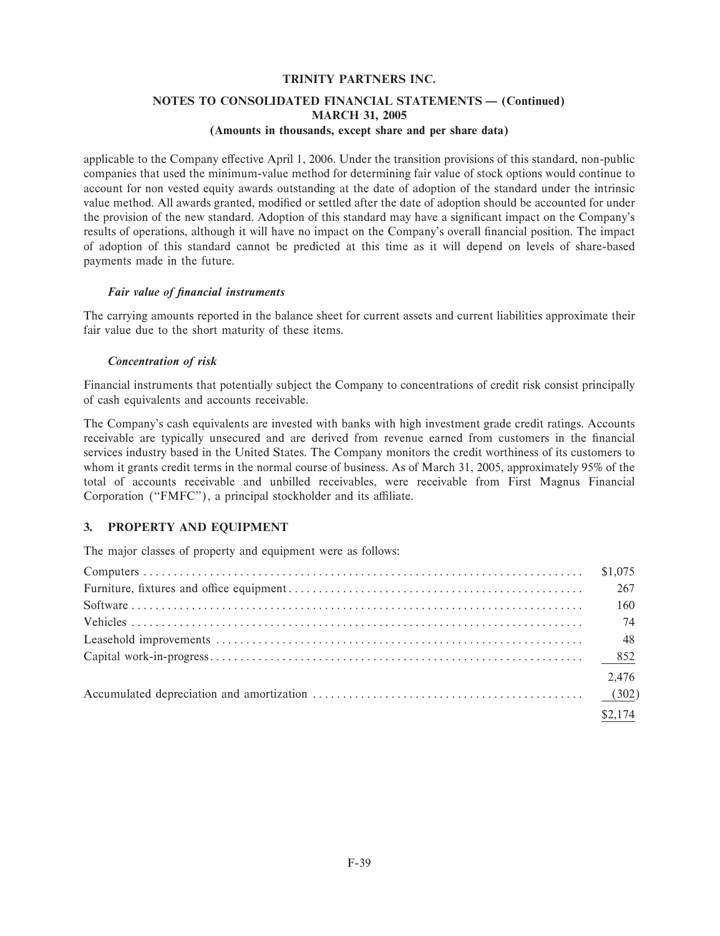# NOTES TO CONSOLIDATED FINANCIAL STATEMENTS - (Continued) **MARCH 31, 2005**

### (Amounts in thousands, except share and per share data)

applicable to the Company effective April 1, 2006. Under the transition provisions of this standard, non-public companies that used the minimum-value method for determining fair value of stock options would continue to account for non vested equity awards outstanding at the date of adoption of the standard under the intrinsic value method. All awards granted, modified or settled after the date of adoption should be accounted for under the provision of the new standard. Adoption of this standard may have a significant impact on the Company's results of operations, although it will have no impact on the Company's overall financial position. The impact of adoption of this standard cannot be predicted at this time as it will depend on levels of share-based payments made in the future.

### Fair value of financial instruments

The carrying amounts reported in the balance sheet for current assets and current liabilities approximate their fair value due to the short maturity of these items.

### **Concentration of risk**

Financial instruments that potentially subject the Company to concentrations of credit risk consist principally of cash equivalents and accounts receivable.

The Company's cash equivalents are invested with banks with high investment grade credit ratings. Accounts receivable are typically unsecured and are derived from revenue earned from customers in the financial services industry based in the United States. The Company monitors the credit worthiness of its customers to whom it grants credit terms in the normal course of business. As of March 31, 2005, approximately 95% of the total of accounts receivable and unbilled receivables, were receivable from First Magnus Financial Corporation ("FMFC"), a principal stockholder and its affiliate.

#### $3.$ PROPERTY AND EQUIPMENT

The major classes of property and equipment were as follows:

| 267     |
|---------|
| 160     |
| 74      |
|         |
|         |
| 2,476   |
|         |
| \$2,174 |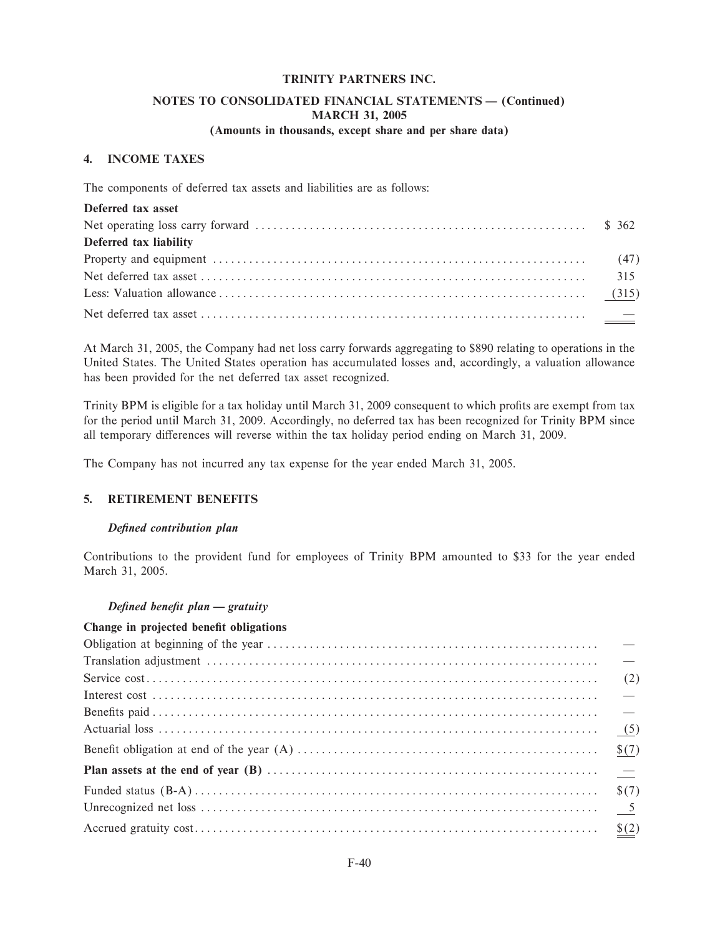### NOTES TO CONSOLIDATED FINANCIAL STATEMENTS - (Continued) **MARCH 31, 2005** (Amounts in thousands, except share and per share data)

# 4. INCOME TAXES

The components of deferred tax assets and liabilities are as follows:

| Deferred tax asset     |  |
|------------------------|--|
|                        |  |
| Deferred tax liability |  |
|                        |  |
|                        |  |
|                        |  |
|                        |  |

At March 31, 2005, the Company had net loss carry forwards aggregating to \$890 relating to operations in the United States. The United States operation has accumulated losses and, accordingly, a valuation allowance has been provided for the net deferred tax asset recognized.

Trinity BPM is eligible for a tax holiday until March 31, 2009 consequent to which profits are exempt from tax for the period until March 31, 2009. Accordingly, no deferred tax has been recognized for Trinity BPM since all temporary differences will reverse within the tax holiday period ending on March 31, 2009.

The Company has not incurred any tax expense for the year ended March 31, 2005.

### 5. RETIREMENT BENEFITS

#### Defined contribution plan

Contributions to the provident fund for employees of Trinity BPM amounted to \$33 for the year ended March 31, 2005.

### Defined benefit plan - gratuity

### Change in projected benefit obligations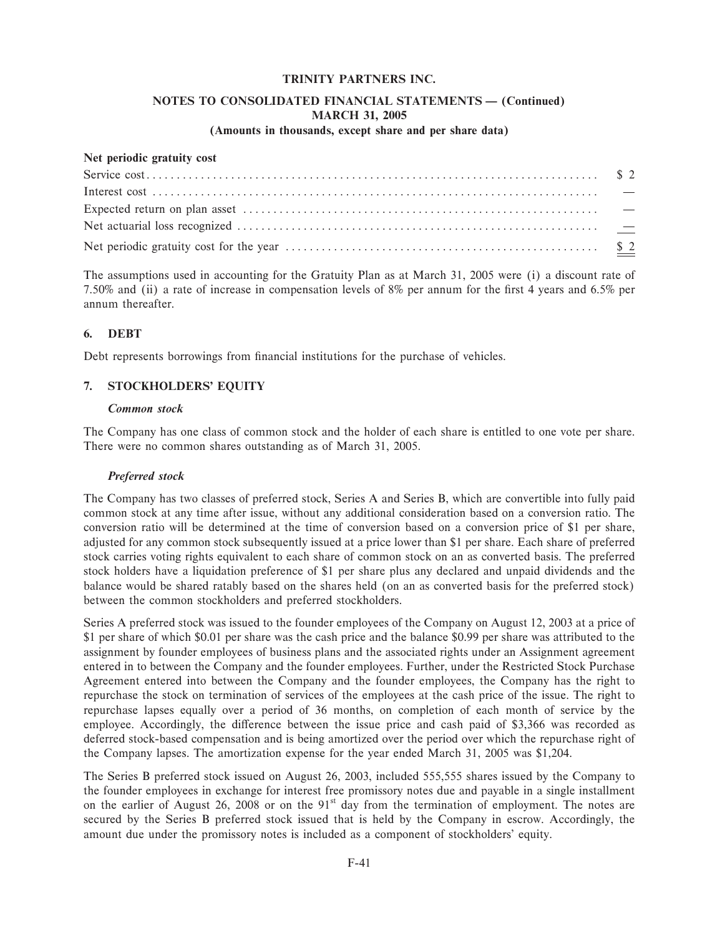### NOTES TO CONSOLIDATED FINANCIAL STATEMENTS - (Continued) **MARCH 31, 2005**

### (Amounts in thousands, except share and per share data)

### Net periodic gratuity cost

The assumptions used in accounting for the Gratuity Plan as at March 31, 2005 were (i) a discount rate of 7.50% and (ii) a rate of increase in compensation levels of 8% per annum for the first 4 years and 6.5% per annum thereafter.

#### **DEBT** 6.

Debt represents borrowings from financial institutions for the purchase of vehicles.

#### **STOCKHOLDERS' EQUITY** 7.

#### **Common** stock

The Company has one class of common stock and the holder of each share is entitled to one vote per share. There were no common shares outstanding as of March 31, 2005.

#### Preferred stock

The Company has two classes of preferred stock, Series A and Series B, which are convertible into fully paid common stock at any time after issue, without any additional consideration based on a conversion ratio. The conversion ratio will be determined at the time of conversion based on a conversion price of \$1 per share, adjusted for any common stock subsequently issued at a price lower than \$1 per share. Each share of preferred stock carries voting rights equivalent to each share of common stock on an as converted basis. The preferred stock holders have a liquidation preference of \$1 per share plus any declared and unpaid dividends and the balance would be shared ratably based on the shares held (on an as converted basis for the preferred stock) between the common stockholders and preferred stockholders.

Series A preferred stock was issued to the founder employees of the Company on August 12, 2003 at a price of \$1 per share of which \$0.01 per share was the cash price and the balance \$0.99 per share was attributed to the assignment by founder employees of business plans and the associated rights under an Assignment agreement entered in to between the Company and the founder employees. Further, under the Restricted Stock Purchase Agreement entered into between the Company and the founder employees, the Company has the right to repurchase the stock on termination of services of the employees at the cash price of the issue. The right to repurchase lapses equally over a period of 36 months, on completion of each month of service by the employee. Accordingly, the difference between the issue price and cash paid of \$3,366 was recorded as deferred stock-based compensation and is being amortized over the period over which the repurchase right of the Company lapses. The amortization expense for the year ended March 31, 2005 was \$1,204.

The Series B preferred stock issued on August 26, 2003, included 555,555 shares issued by the Company to the founder employees in exchange for interest free promissory notes due and payable in a single installment on the earlier of August 26, 2008 or on the 91<sup>st</sup> day from the termination of employment. The notes are secured by the Series B preferred stock issued that is held by the Company in escrow. Accordingly, the amount due under the promissory notes is included as a component of stockholders' equity.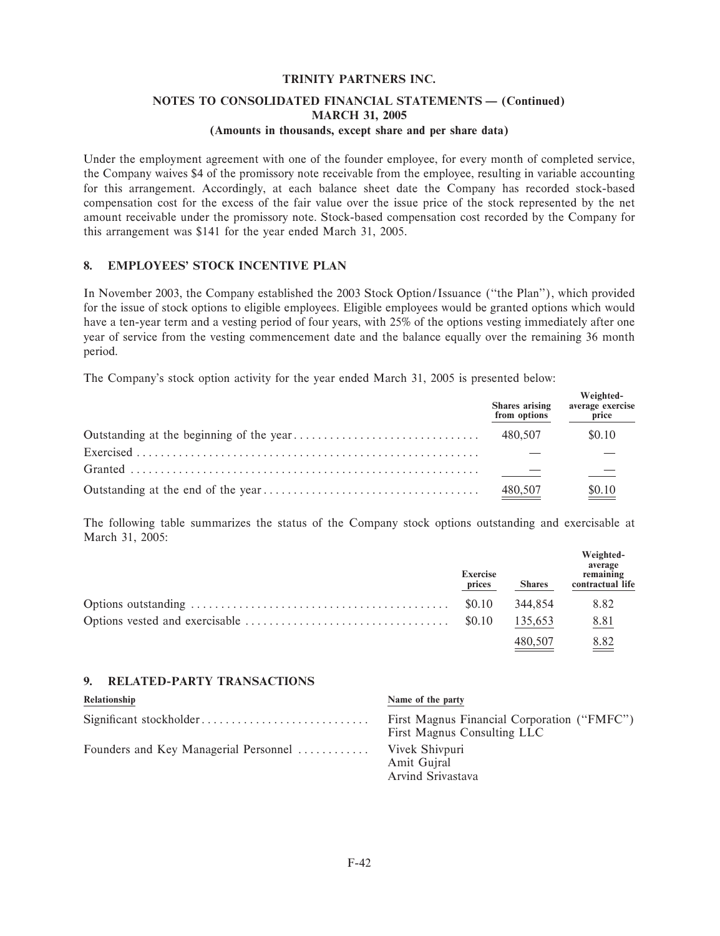# **NOTES TO CONSOLIDATED FINANCIAL STATEMENTS - (Continued) MARCH 31, 2005**

### **(Amounts in thousands, except share and per share data)**

Under the employment agreement with one of the founder employee, for every month of completed service, the Company waives \$4 of the promissory note receivable from the employee, resulting in variable accounting for this arrangement. Accordingly, at each balance sheet date the Company has recorded stock-based compensation cost for the excess of the fair value over the issue price of the stock represented by the net amount receivable under the promissory note. Stock-based compensation cost recorded by the Company for this arrangement was \$141 for the year ended March 31, 2005.

### **8. EMPLOYEES' STOCK INCENTIVE PLAN**

In November 2003, the Company established the 2003 Stock Option/Issuance (""the Plan''), which provided for the issue of stock options to eligible employees. Eligible employees would be granted options which would have a ten-year term and a vesting period of four years, with 25% of the options vesting immediately after one year of service from the vesting commencement date and the balance equally over the remaining 36 month period.

The Company's stock option activity for the year ended March 31, 2005 is presented below:

| Shares arising<br>from options | Weighted-<br>average exercise<br>price |
|--------------------------------|----------------------------------------|
| 480.507                        | \$0.10                                 |
|                                |                                        |
|                                |                                        |
| 480,507                        | $\underline{\underline{\$0.10}}$       |

The following table summarizes the status of the Company stock options outstanding and exercisable at March 31, 2005:

| <b>Exercise</b><br>prices | <b>Shares</b> | Weighted-<br>average<br>remaining<br>contractual life |
|---------------------------|---------------|-------------------------------------------------------|
| \$0.10                    | 344.854       | 8.82                                                  |
|                           | 135,653       | 8.81                                                  |
|                           | 480.507       | 8.82                                                  |

### **9. RELATED-PARTY TRANSACTIONS**

| Relationship                          | Name of the party                                                          |
|---------------------------------------|----------------------------------------------------------------------------|
| Significant stockholder               | First Magnus Financial Corporation ("FMFC")<br>First Magnus Consulting LLC |
| Founders and Key Managerial Personnel | Vivek Shivpuri<br>Amit Gujral<br>Arvind Srivastava                         |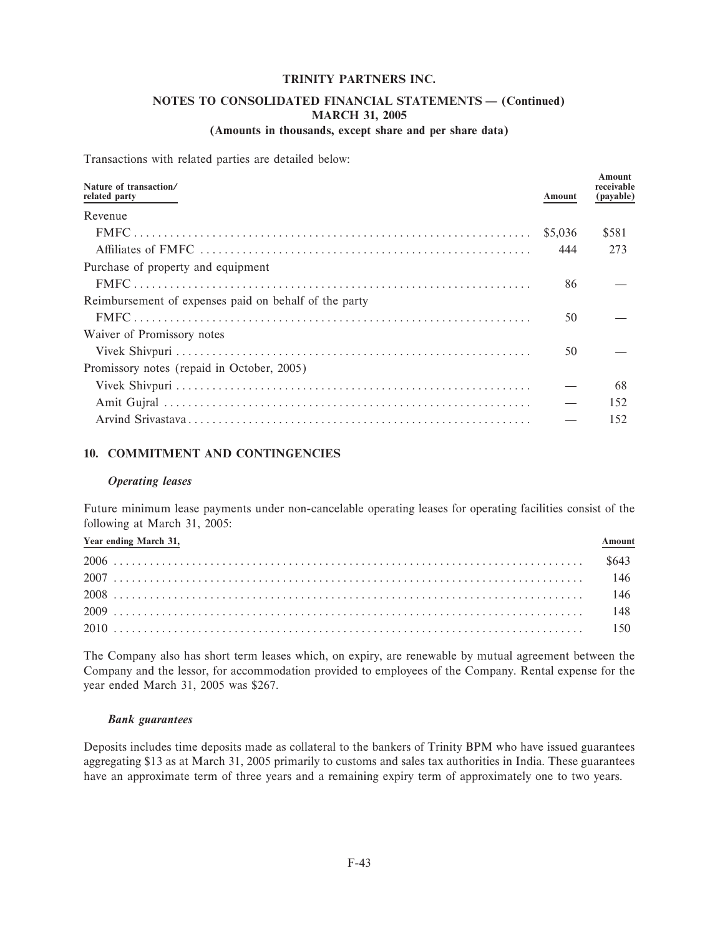## NOTES TO CONSOLIDATED FINANCIAL STATEMENTS - (Continued) **MARCH 31, 2005**

### (Amounts in thousands, except share and per share data)

Transactions with related parties are detailed below:

| Nature of transaction/<br>related party               | Amount  | Amount<br>receivable<br>(payable) |
|-------------------------------------------------------|---------|-----------------------------------|
| Revenue                                               |         |                                   |
|                                                       | \$5,036 | \$581                             |
|                                                       | 444     | 273                               |
| Purchase of property and equipment                    |         |                                   |
|                                                       | 86      |                                   |
| Reimbursement of expenses paid on behalf of the party |         |                                   |
|                                                       | 50      |                                   |
| Waiver of Promissory notes                            |         |                                   |
|                                                       | 50      |                                   |
| Promissory notes (repaid in October, 2005)            |         |                                   |
|                                                       |         | 68                                |
|                                                       |         | 152                               |
|                                                       |         | 152                               |

### 10. COMMITMENT AND CONTINGENCIES

#### **Operating leases**

Future minimum lease payments under non-cancelable operating leases for operating facilities consist of the following at March 31, 2005:

| Year ending March 31, | mount |
|-----------------------|-------|
|                       |       |
|                       |       |
|                       |       |
|                       |       |
|                       |       |

The Company also has short term leases which, on expiry, are renewable by mutual agreement between the Company and the lessor, for accommodation provided to employees of the Company. Rental expense for the year ended March 31, 2005 was \$267.

### **Bank** guarantees

Deposits includes time deposits made as collateral to the bankers of Trinity BPM who have issued guarantees aggregating \$13 as at March 31, 2005 primarily to customs and sales tax authorities in India. These guarantees have an approximate term of three years and a remaining expiry term of approximately one to two years.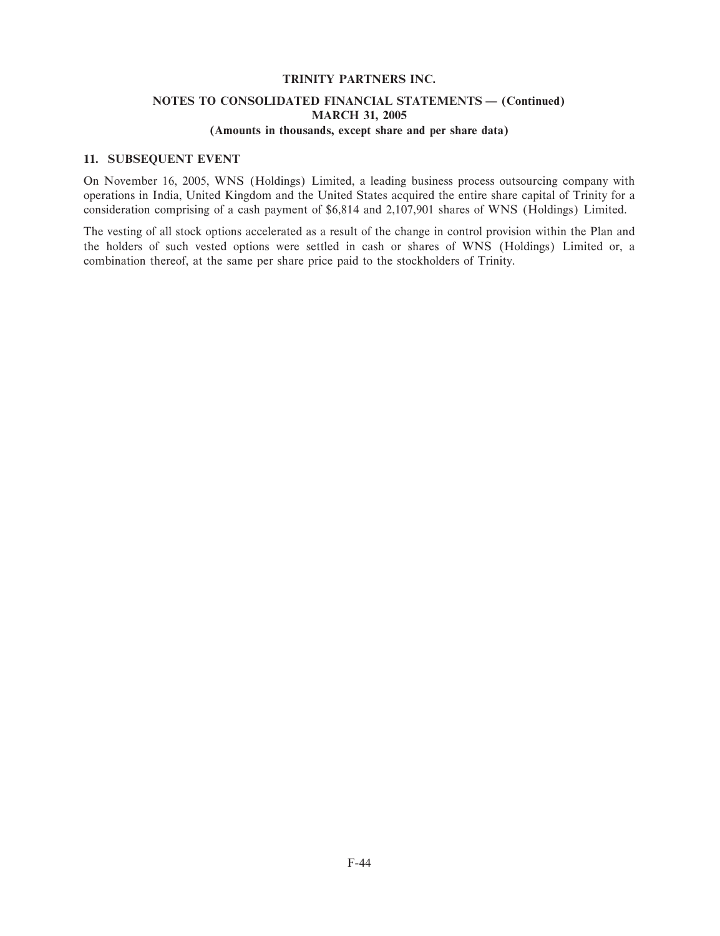# **NOTES TO CONSOLIDATED FINANCIAL STATEMENTS - (Continued) MARCH 31, 2005**

### **(Amounts in thousands, except share and per share data)**

#### **11. SUBSEQUENT EVENT**

On November 16, 2005, WNS (Holdings) Limited, a leading business process outsourcing company with operations in India, United Kingdom and the United States acquired the entire share capital of Trinity for a consideration comprising of a cash payment of \$6,814 and 2,107,901 shares of WNS (Holdings) Limited.

The vesting of all stock options accelerated as a result of the change in control provision within the Plan and the holders of such vested options were settled in cash or shares of WNS (Holdings) Limited or, a combination thereof, at the same per share price paid to the stockholders of Trinity.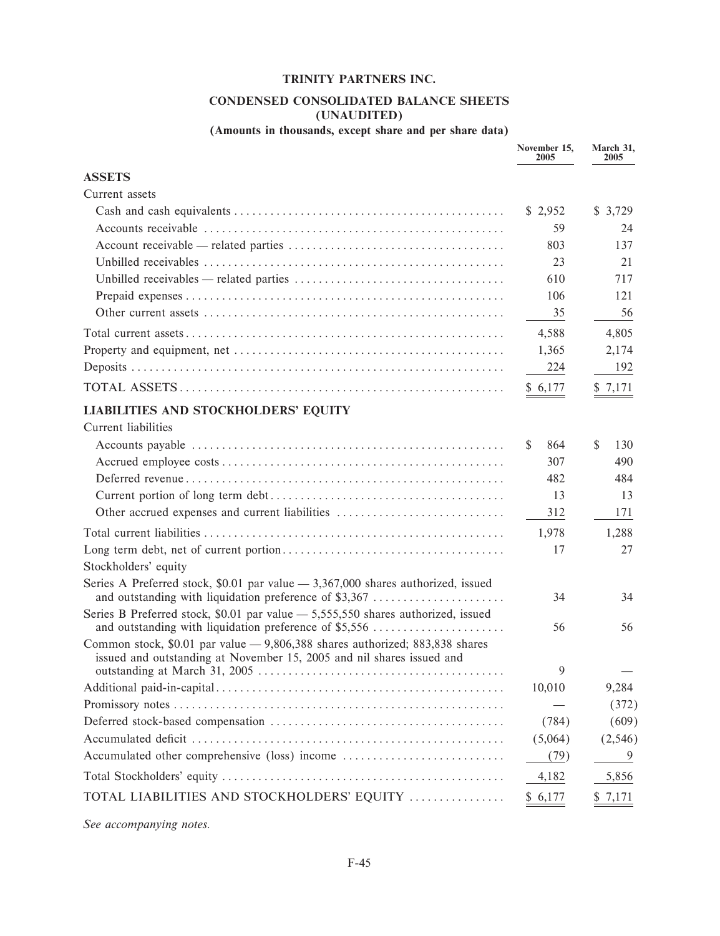### CONDENSED CONSOLIDATED BALANCE SHEETS (UNAUDITED)

# (Amounts in thousands, except share and per share data)

|                                                                                                                                                       | November 15,<br>2005 | March 31,<br>2005 |
|-------------------------------------------------------------------------------------------------------------------------------------------------------|----------------------|-------------------|
| <b>ASSETS</b>                                                                                                                                         |                      |                   |
| Current assets                                                                                                                                        |                      |                   |
|                                                                                                                                                       | \$2,952              | \$3,729           |
|                                                                                                                                                       | 59                   | 24                |
|                                                                                                                                                       | 803                  | 137               |
|                                                                                                                                                       | 23                   | 21                |
|                                                                                                                                                       | 610                  | 717               |
|                                                                                                                                                       | 106                  | 121               |
|                                                                                                                                                       | 35                   | 56                |
|                                                                                                                                                       | 4,588                | 4,805             |
|                                                                                                                                                       | 1,365                | 2,174             |
|                                                                                                                                                       | 224                  | 192               |
|                                                                                                                                                       | \$6,177              | \$7,171           |
| <b>LIABILITIES AND STOCKHOLDERS' EQUITY</b>                                                                                                           |                      |                   |
| Current liabilities                                                                                                                                   |                      |                   |
|                                                                                                                                                       | \$<br>864            | \$<br>130         |
|                                                                                                                                                       | 307                  | 490               |
|                                                                                                                                                       | 482                  | 484               |
|                                                                                                                                                       | 13                   | 13                |
| Other accrued expenses and current liabilities                                                                                                        | 312                  | 171               |
|                                                                                                                                                       | 1,978                | 1,288             |
|                                                                                                                                                       | 17                   | 27                |
| Stockholders' equity                                                                                                                                  |                      |                   |
| Series A Preferred stock, \$0.01 par value $-3,367,000$ shares authorized, issued<br>and outstanding with liquidation preference of \$3,367           | 34                   | 34                |
| Series B Preferred stock, \$0.01 par value - 5,555,550 shares authorized, issued                                                                      |                      |                   |
| and outstanding with liquidation preference of \$5,556                                                                                                | 56                   | 56                |
| Common stock, \$0.01 par value - 9,806,388 shares authorized; 883,838 shares<br>issued and outstanding at November 15, 2005 and nil shares issued and | 9                    |                   |
|                                                                                                                                                       | 10,010               | 9,284             |
|                                                                                                                                                       |                      | (372)             |
|                                                                                                                                                       | (784)                | (609)             |
|                                                                                                                                                       | (5,064)              | (2, 546)          |
| Accumulated other comprehensive (loss) income                                                                                                         | (79)                 | 9                 |
|                                                                                                                                                       | 4,182                | 5,856             |
| TOTAL LIABILITIES AND STOCKHOLDERS' EQUITY                                                                                                            | \$6,177              | \$7,171           |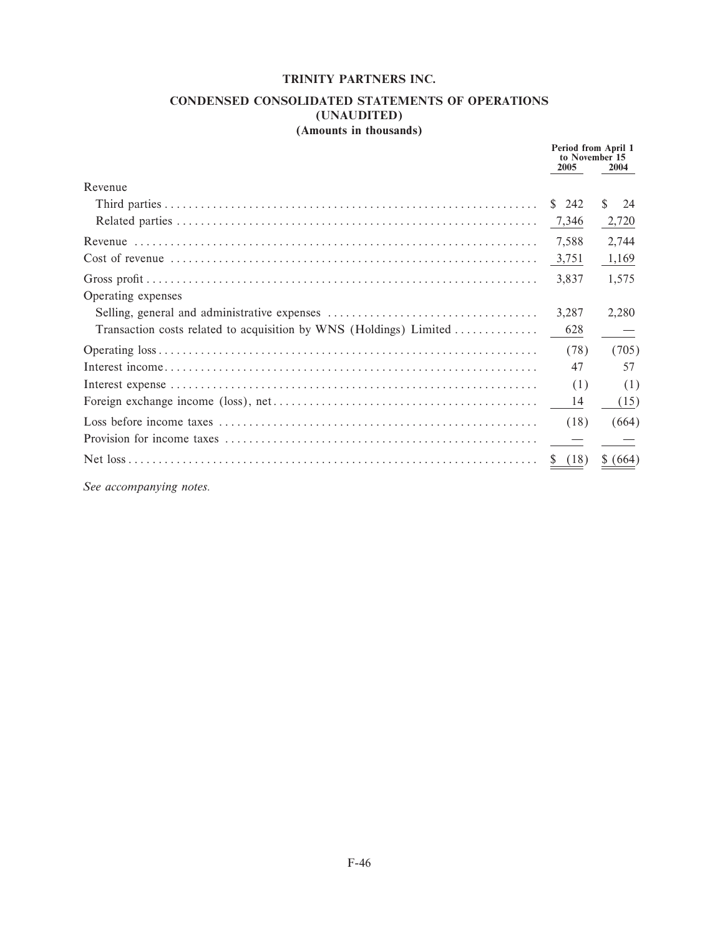### CONDENSED CONSOLIDATED STATEMENTS OF OPERATIONS (UNAUDITED) (Amounts in thousands)

|                                                                    | Period from April 1<br>to November 15<br>2005 | 2004     |
|--------------------------------------------------------------------|-----------------------------------------------|----------|
| Revenue                                                            |                                               |          |
|                                                                    | \$242                                         | S.<br>24 |
|                                                                    | 7,346                                         | 2,720    |
|                                                                    | 7,588                                         | 2,744    |
|                                                                    | 3,751                                         | 1,169    |
|                                                                    | 3,837                                         | 1,575    |
| Operating expenses                                                 |                                               |          |
|                                                                    | 3,287                                         | 2,280    |
| Transaction costs related to acquisition by WNS (Holdings) Limited | 628                                           |          |
|                                                                    | (78)                                          | (705)    |
|                                                                    | 47                                            | 57       |
|                                                                    | (1)                                           | (1)      |
|                                                                    | 14                                            | (15)     |
|                                                                    | (18)                                          | (664)    |
|                                                                    |                                               |          |
|                                                                    | (18)                                          | \$ (664) |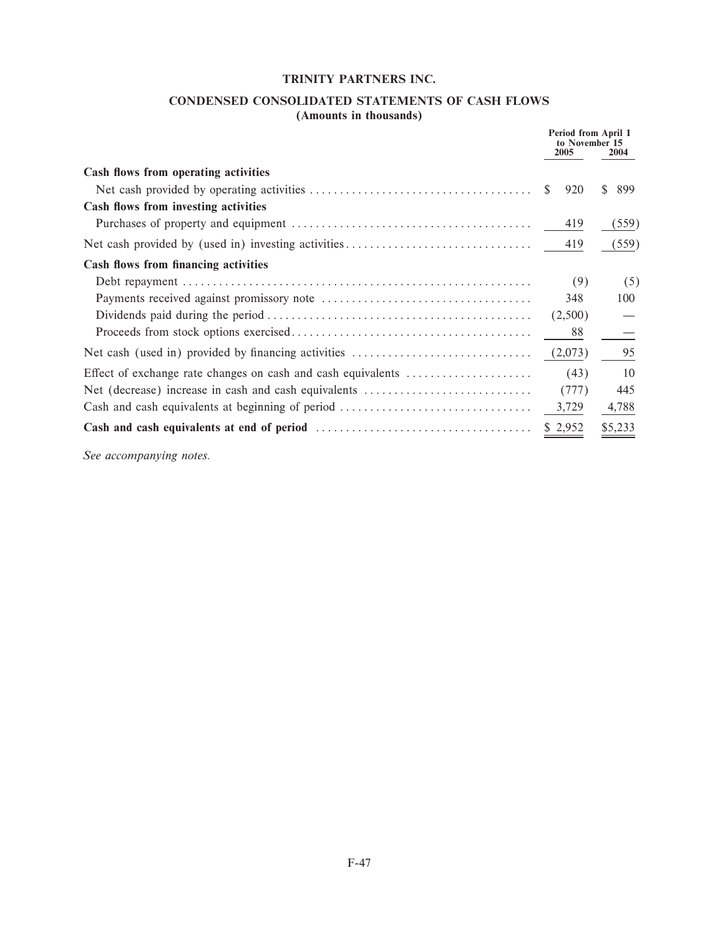### **CONDENSED CONSOLIDATED STATEMENTS OF CASH FLOWS (Amounts in thousands)**

|                                                              | Period from April 1<br>to November 15<br>2005 | 2004      |
|--------------------------------------------------------------|-----------------------------------------------|-----------|
| Cash flows from operating activities                         |                                               |           |
|                                                              | \$.<br>920                                    | \$<br>899 |
| Cash flows from investing activities                         |                                               |           |
|                                                              | 419                                           | (559)     |
|                                                              | 419                                           | (559)     |
| Cash flows from financing activities                         |                                               |           |
|                                                              | (9)                                           | (5)       |
|                                                              | 348                                           | 100       |
|                                                              | (2,500)                                       |           |
|                                                              | 88                                            |           |
|                                                              | (2,073)                                       | 95        |
| Effect of exchange rate changes on cash and cash equivalents | (43)                                          | 10        |
| Net (decrease) increase in cash and cash equivalents         | (777)                                         | 445       |
| Cash and cash equivalents at beginning of period             | 3,729                                         | 4,788     |
|                                                              | \$2,952                                       | \$5,233   |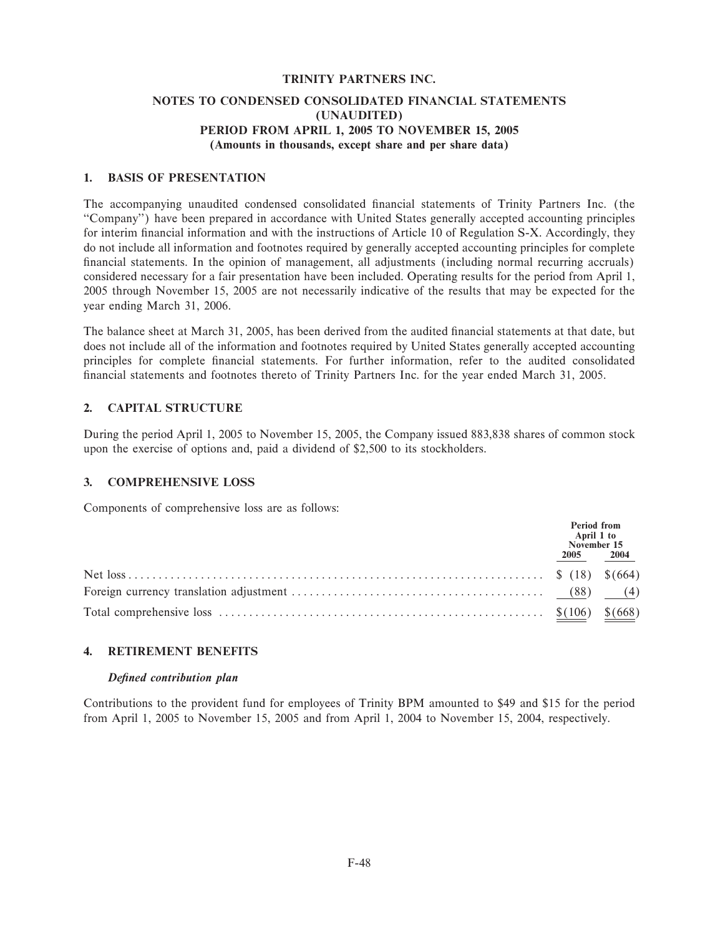### **NOTES TO CONDENSED CONSOLIDATED FINANCIAL STATEMENTS (UNAUDITED) PERIOD FROM APRIL 1, 2005 TO NOVEMBER 15, 2005 (Amounts in thousands, except share and per share data)**

### **1. BASIS OF PRESENTATION**

The accompanying unaudited condensed consolidated Ñnancial statements of Trinity Partners Inc. (the ""Company'') have been prepared in accordance with United States generally accepted accounting principles for interim financial information and with the instructions of Article 10 of Regulation S-X. Accordingly, they do not include all information and footnotes required by generally accepted accounting principles for complete financial statements. In the opinion of management, all adjustments (including normal recurring accruals) considered necessary for a fair presentation have been included. Operating results for the period from April 1, 2005 through November 15, 2005 are not necessarily indicative of the results that may be expected for the year ending March 31, 2006.

The balance sheet at March 31, 2005, has been derived from the audited financial statements at that date, but does not include all of the information and footnotes required by United States generally accepted accounting principles for complete Ñnancial statements. For further information, refer to the audited consolidated financial statements and footnotes thereto of Trinity Partners Inc. for the year ended March 31, 2005.

### **2. CAPITAL STRUCTURE**

During the period April 1, 2005 to November 15, 2005, the Company issued 883,838 shares of common stock upon the exercise of options and, paid a dividend of \$2,500 to its stockholders.

### **3. COMPREHENSIVE LOSS**

Components of comprehensive loss are as follows:

| Period from<br>April 1 to<br>November 15 |  |
|------------------------------------------|--|
| 2005 2004                                |  |
|                                          |  |
|                                          |  |
|                                          |  |

### **4. RETIREMENT BENEFITS**

### *DeÑned contribution plan*

Contributions to the provident fund for employees of Trinity BPM amounted to \$49 and \$15 for the period from April 1, 2005 to November 15, 2005 and from April 1, 2004 to November 15, 2004, respectively.